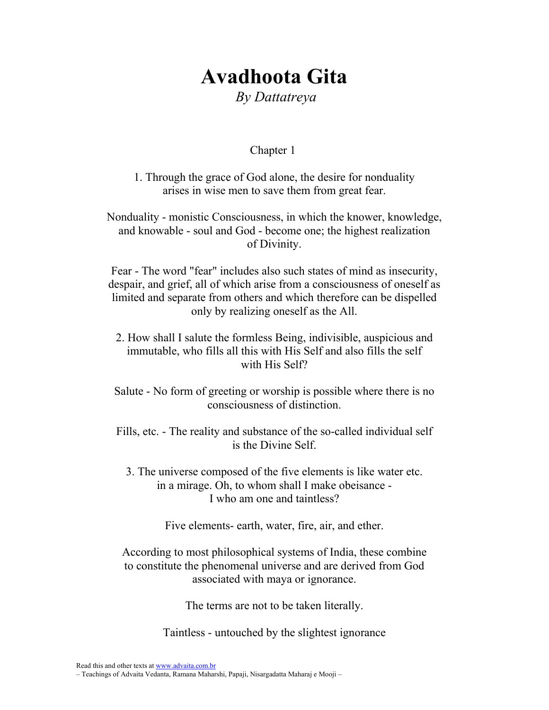# Avadhoota Gita By Dattatreya

## Chapter 1

1. Through the grace of God alone, the desire for nonduality arises in wise men to save them from great fear.

Nonduality - monistic Consciousness, in which the knower, knowledge, and knowable - soul and God - become one; the highest realization of Divinity.

Fear - The word "fear" includes also such states of mind as insecurity, despair, and grief, all of which arise from a consciousness of oneself as limited and separate from others and which therefore can be dispelled only by realizing oneself as the All.

- 2. How shall I salute the formless Being, indivisible, auspicious and immutable, who fills all this with His Self and also fills the self with His Self?
- Salute No form of greeting or worship is possible where there is no consciousness of distinction.

Fills, etc. - The reality and substance of the so-called individual self is the Divine Self.

3. The universe composed of the five elements is like water etc. in a mirage. Oh, to whom shall I make obeisance - I who am one and taintless?

Five elements- earth, water, fire, air, and ether.

According to most philosophical systems of India, these combine to constitute the phenomenal universe and are derived from God associated with maya or ignorance.

The terms are not to be taken literally.

Taintless - untouched by the slightest ignorance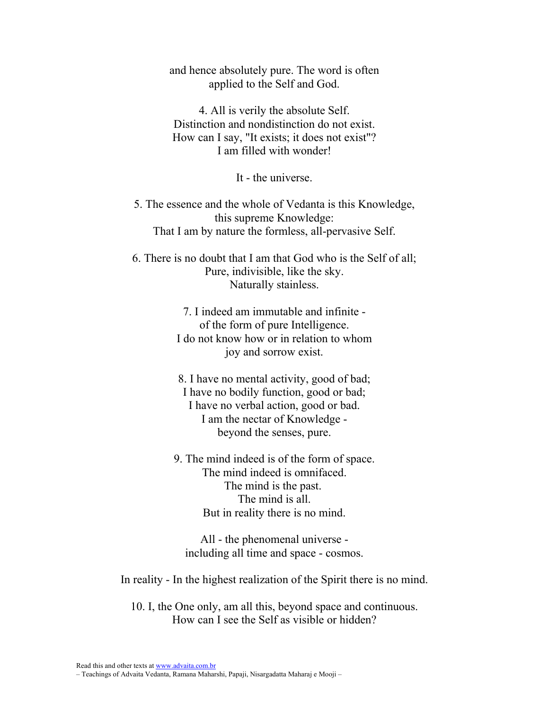and hence absolutely pure. The word is often applied to the Self and God.

4. All is verily the absolute Self. Distinction and nondistinction do not exist. How can I say, "It exists; it does not exist"? I am filled with wonder!

It - the universe.

5. The essence and the whole of Vedanta is this Knowledge, this supreme Knowledge: That I am by nature the formless, all-pervasive Self.

6. There is no doubt that I am that God who is the Self of all; Pure, indivisible, like the sky. Naturally stainless.

> 7. I indeed am immutable and infinite of the form of pure Intelligence. I do not know how or in relation to whom joy and sorrow exist.

> 8. I have no mental activity, good of bad; I have no bodily function, good or bad; I have no verbal action, good or bad. I am the nectar of Knowledge beyond the senses, pure.

9. The mind indeed is of the form of space. The mind indeed is omnifaced. The mind is the past. The mind is all. But in reality there is no mind.

All - the phenomenal universe including all time and space - cosmos.

In reality - In the highest realization of the Spirit there is no mind.

10. I, the One only, am all this, beyond space and continuous. How can I see the Self as visible or hidden?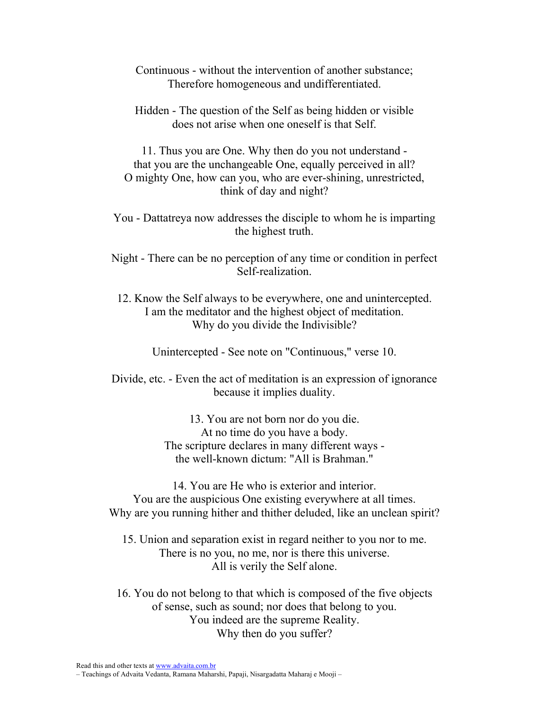- Continuous without the intervention of another substance; Therefore homogeneous and undifferentiated.
- Hidden The question of the Self as being hidden or visible does not arise when one oneself is that Self.

11. Thus you are One. Why then do you not understand that you are the unchangeable One, equally perceived in all? O mighty One, how can you, who are ever-shining, unrestricted, think of day and night?

You - Dattatreya now addresses the disciple to whom he is imparting the highest truth.

Night - There can be no perception of any time or condition in perfect Self-realization.

12. Know the Self always to be everywhere, one and unintercepted. I am the meditator and the highest object of meditation. Why do you divide the Indivisible?

Unintercepted - See note on "Continuous," verse 10.

Divide, etc. - Even the act of meditation is an expression of ignorance because it implies duality.

> 13. You are not born nor do you die. At no time do you have a body. The scripture declares in many different ways the well-known dictum: "All is Brahman."

14. You are He who is exterior and interior. You are the auspicious One existing everywhere at all times. Why are you running hither and thither deluded, like an unclean spirit?

15. Union and separation exist in regard neither to you nor to me. There is no you, no me, nor is there this universe. All is verily the Self alone.

16. You do not belong to that which is composed of the five objects of sense, such as sound; nor does that belong to you. You indeed are the supreme Reality. Why then do you suffer?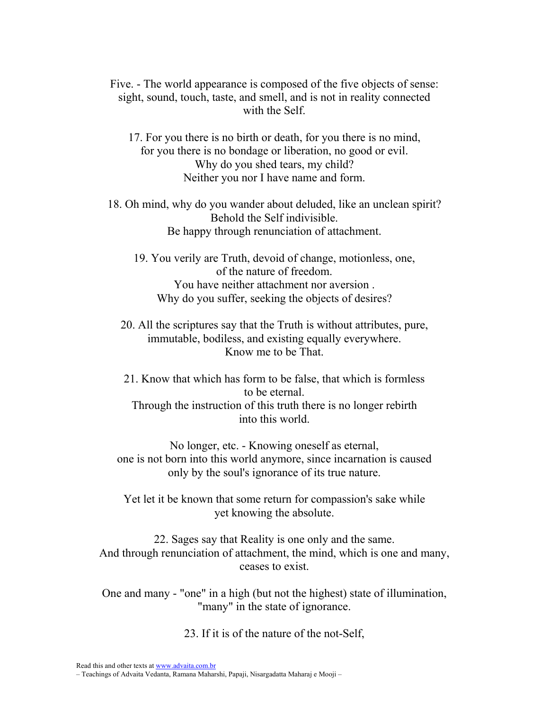Five. - The world appearance is composed of the five objects of sense: sight, sound, touch, taste, and smell, and is not in reality connected with the Self.

17. For you there is no birth or death, for you there is no mind, for you there is no bondage or liberation, no good or evil. Why do you shed tears, my child? Neither you nor I have name and form.

18. Oh mind, why do you wander about deluded, like an unclean spirit? Behold the Self indivisible. Be happy through renunciation of attachment.

19. You verily are Truth, devoid of change, motionless, one, of the nature of freedom. You have neither attachment nor aversion . Why do you suffer, seeking the objects of desires?

20. All the scriptures say that the Truth is without attributes, pure, immutable, bodiless, and existing equally everywhere. Know me to be That.

21. Know that which has form to be false, that which is formless to be eternal. Through the instruction of this truth there is no longer rebirth into this world.

No longer, etc. - Knowing oneself as eternal, one is not born into this world anymore, since incarnation is caused only by the soul's ignorance of its true nature.

Yet let it be known that some return for compassion's sake while yet knowing the absolute.

22. Sages say that Reality is one only and the same. And through renunciation of attachment, the mind, which is one and many, ceases to exist.

One and many - "one" in a high (but not the highest) state of illumination, "many" in the state of ignorance.

23. If it is of the nature of the not-Self,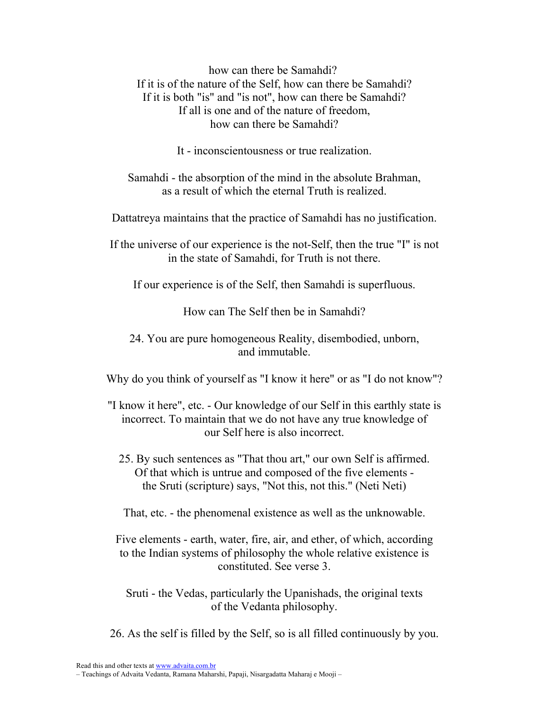how can there be Samahdi? If it is of the nature of the Self, how can there be Samahdi? If it is both "is" and "is not", how can there be Samahdi? If all is one and of the nature of freedom, how can there be Samahdi?

It - inconscientousness or true realization.

Samahdi - the absorption of the mind in the absolute Brahman, as a result of which the eternal Truth is realized.

Dattatreya maintains that the practice of Samahdi has no justification.

If the universe of our experience is the not-Self, then the true "I" is not in the state of Samahdi, for Truth is not there.

If our experience is of the Self, then Samahdi is superfluous.

How can The Self then be in Samahdi?

24. You are pure homogeneous Reality, disembodied, unborn, and immutable.

Why do you think of yourself as "I know it here" or as "I do not know"?

- "I know it here", etc. Our knowledge of our Self in this earthly state is incorrect. To maintain that we do not have any true knowledge of our Self here is also incorrect.
	- 25. By such sentences as "That thou art," our own Self is affirmed. Of that which is untrue and composed of the five elements the Sruti (scripture) says, "Not this, not this." (Neti Neti)

That, etc. - the phenomenal existence as well as the unknowable.

Five elements - earth, water, fire, air, and ether, of which, according to the Indian systems of philosophy the whole relative existence is constituted. See verse 3.

Sruti - the Vedas, particularly the Upanishads, the original texts of the Vedanta philosophy.

26. As the self is filled by the Self, so is all filled continuously by you.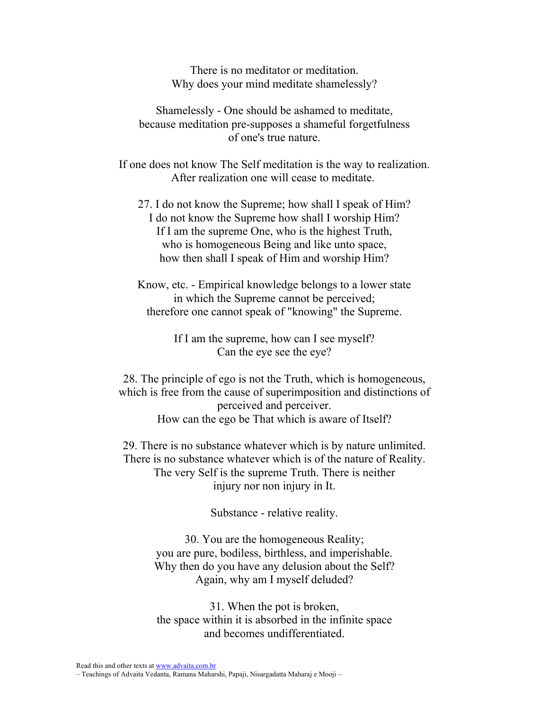There is no meditator or meditation. Why does your mind meditate shamelessly?

Shamelessly - One should be ashamed to meditate, because meditation pre-supposes a shameful forgetfulness of one's true nature.

If one does not know The Self meditation is the way to realization. After realization one will cease to meditate.

27. I do not know the Supreme; how shall I speak of Him? I do not know the Supreme how shall I worship Him? If I am the supreme One, who is the highest Truth, who is homogeneous Being and like unto space, how then shall I speak of Him and worship Him?

Know, etc. - Empirical knowledge belongs to a lower state in which the Supreme cannot be perceived; therefore one cannot speak of "knowing" the Supreme.

> If I am the supreme, how can I see myself? Can the eye see the eye?

28. The principle of ego is not the Truth, which is homogeneous, which is free from the cause of superimposition and distinctions of perceived and perceiver. How can the ego be That which is aware of Itself?

29. There is no substance whatever which is by nature unlimited. There is no substance whatever which is of the nature of Reality. The very Self is the supreme Truth. There is neither injury nor non injury in It.

Substance - relative reality.

30. You are the homogeneous Reality; you are pure, bodiless, birthless, and imperishable. Why then do you have any delusion about the Self? Again, why am I myself deluded?

31. When the pot is broken, the space within it is absorbed in the infinite space and becomes undifferentiated.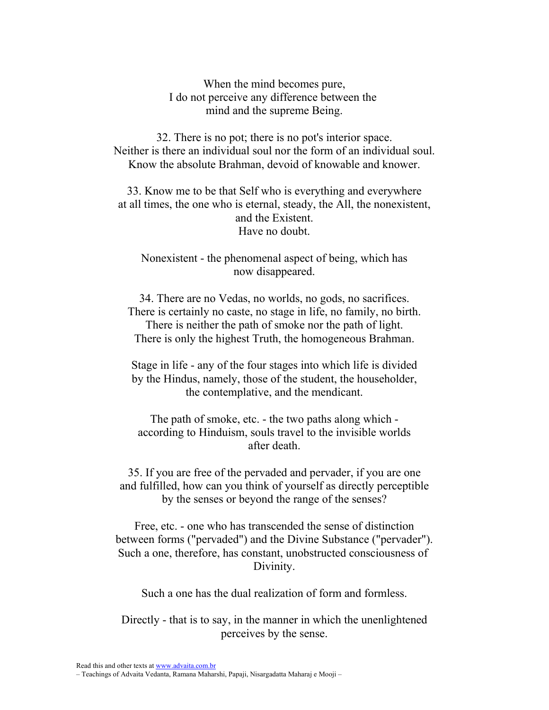When the mind becomes pure, I do not perceive any difference between the mind and the supreme Being.

32. There is no pot; there is no pot's interior space. Neither is there an individual soul nor the form of an individual soul. Know the absolute Brahman, devoid of knowable and knower.

33. Know me to be that Self who is everything and everywhere at all times, the one who is eternal, steady, the All, the nonexistent, and the Existent. Have no doubt.

Nonexistent - the phenomenal aspect of being, which has now disappeared.

34. There are no Vedas, no worlds, no gods, no sacrifices. There is certainly no caste, no stage in life, no family, no birth. There is neither the path of smoke nor the path of light. There is only the highest Truth, the homogeneous Brahman.

Stage in life - any of the four stages into which life is divided by the Hindus, namely, those of the student, the householder, the contemplative, and the mendicant.

The path of smoke, etc. - the two paths along which according to Hinduism, souls travel to the invisible worlds after death.

35. If you are free of the pervaded and pervader, if you are one and fulfilled, how can you think of yourself as directly perceptible by the senses or beyond the range of the senses?

Free, etc. - one who has transcended the sense of distinction between forms ("pervaded") and the Divine Substance ("pervader"). Such a one, therefore, has constant, unobstructed consciousness of Divinity.

Such a one has the dual realization of form and formless.

Directly - that is to say, in the manner in which the unenlightened perceives by the sense.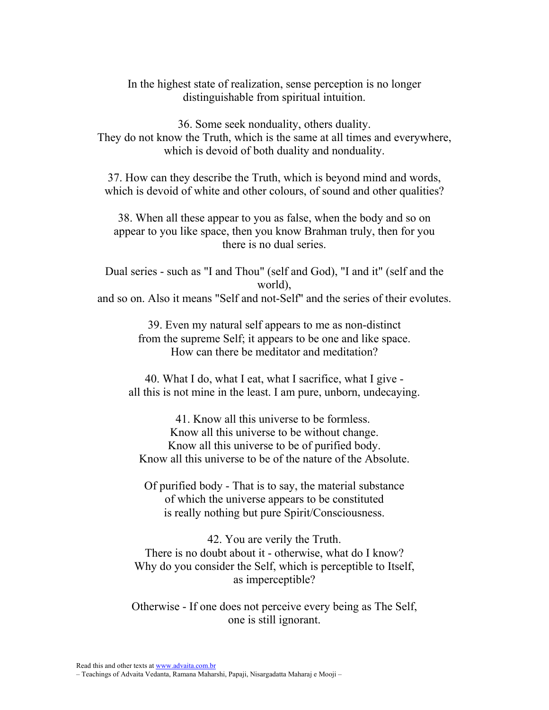In the highest state of realization, sense perception is no longer distinguishable from spiritual intuition.

36. Some seek nonduality, others duality. They do not know the Truth, which is the same at all times and everywhere, which is devoid of both duality and nonduality.

37. How can they describe the Truth, which is beyond mind and words, which is devoid of white and other colours, of sound and other qualities?

38. When all these appear to you as false, when the body and so on appear to you like space, then you know Brahman truly, then for you there is no dual series.

Dual series - such as "I and Thou" (self and God), "I and it" (self and the world), and so on. Also it means "Self and not-Self" and the series of their evolutes.

> 39. Even my natural self appears to me as non-distinct from the supreme Self; it appears to be one and like space. How can there be meditator and meditation?

40. What I do, what I eat, what I sacrifice, what I give all this is not mine in the least. I am pure, unborn, undecaying.

41. Know all this universe to be formless. Know all this universe to be without change. Know all this universe to be of purified body. Know all this universe to be of the nature of the Absolute.

Of purified body - That is to say, the material substance of which the universe appears to be constituted is really nothing but pure Spirit/Consciousness.

42. You are verily the Truth. There is no doubt about it - otherwise, what do I know? Why do you consider the Self, which is perceptible to Itself, as imperceptible?

Otherwise - If one does not perceive every being as The Self, one is still ignorant.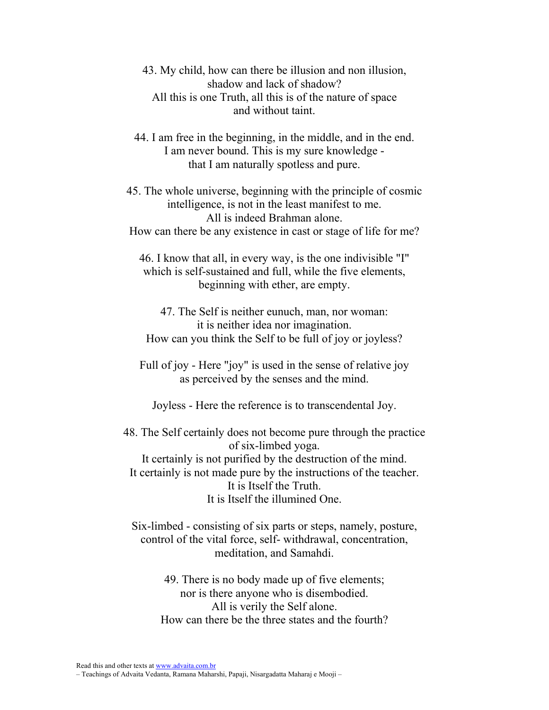43. My child, how can there be illusion and non illusion, shadow and lack of shadow? All this is one Truth, all this is of the nature of space and without taint.

44. I am free in the beginning, in the middle, and in the end. I am never bound. This is my sure knowledge that I am naturally spotless and pure.

45. The whole universe, beginning with the principle of cosmic intelligence, is not in the least manifest to me. All is indeed Brahman alone. How can there be any existence in cast or stage of life for me?

46. I know that all, in every way, is the one indivisible "I" which is self-sustained and full, while the five elements, beginning with ether, are empty.

47. The Self is neither eunuch, man, nor woman: it is neither idea nor imagination. How can you think the Self to be full of joy or joyless?

Full of joy - Here "joy" is used in the sense of relative joy as perceived by the senses and the mind.

Joyless - Here the reference is to transcendental Joy.

48. The Self certainly does not become pure through the practice of six-limbed yoga. It certainly is not purified by the destruction of the mind. It certainly is not made pure by the instructions of the teacher. It is Itself the Truth. It is Itself the illumined One.

Six-limbed - consisting of six parts or steps, namely, posture, control of the vital force, self- withdrawal, concentration, meditation, and Samahdi.

49. There is no body made up of five elements; nor is there anyone who is disembodied. All is verily the Self alone. How can there be the three states and the fourth?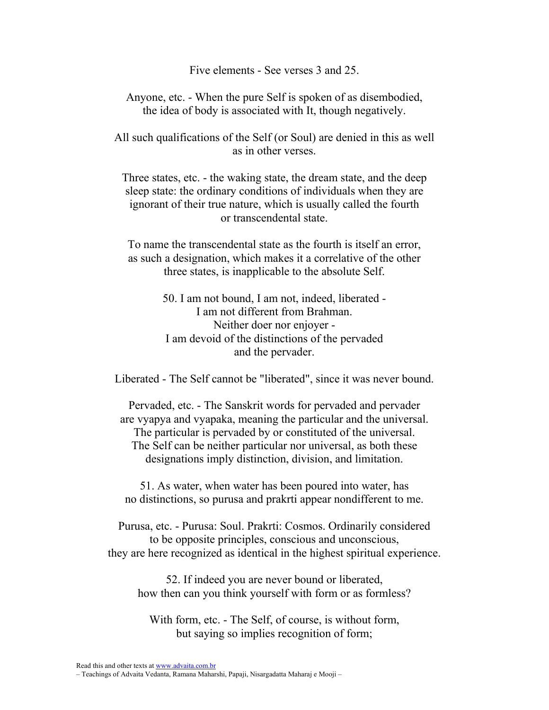Five elements - See verses 3 and 25.

Anyone, etc. - When the pure Self is spoken of as disembodied, the idea of body is associated with It, though negatively.

All such qualifications of the Self (or Soul) are denied in this as well as in other verses.

Three states, etc. - the waking state, the dream state, and the deep sleep state: the ordinary conditions of individuals when they are ignorant of their true nature, which is usually called the fourth or transcendental state.

To name the transcendental state as the fourth is itself an error, as such a designation, which makes it a correlative of the other three states, is inapplicable to the absolute Self.

> 50. I am not bound, I am not, indeed, liberated - I am not different from Brahman. Neither doer nor enjoyer - I am devoid of the distinctions of the pervaded and the pervader.

Liberated - The Self cannot be "liberated", since it was never bound.

Pervaded, etc. - The Sanskrit words for pervaded and pervader are vyapya and vyapaka, meaning the particular and the universal. The particular is pervaded by or constituted of the universal. The Self can be neither particular nor universal, as both these designations imply distinction, division, and limitation.

51. As water, when water has been poured into water, has no distinctions, so purusa and prakrti appear nondifferent to me.

Purusa, etc. - Purusa: Soul. Prakrti: Cosmos. Ordinarily considered to be opposite principles, conscious and unconscious, they are here recognized as identical in the highest spiritual experience.

52. If indeed you are never bound or liberated, how then can you think yourself with form or as formless?

With form, etc. - The Self, of course, is without form, but saying so implies recognition of form;

<sup>–</sup> Teachings of Advaita Vedanta, Ramana Maharshi, Papaji, Nisargadatta Maharaj e Mooji –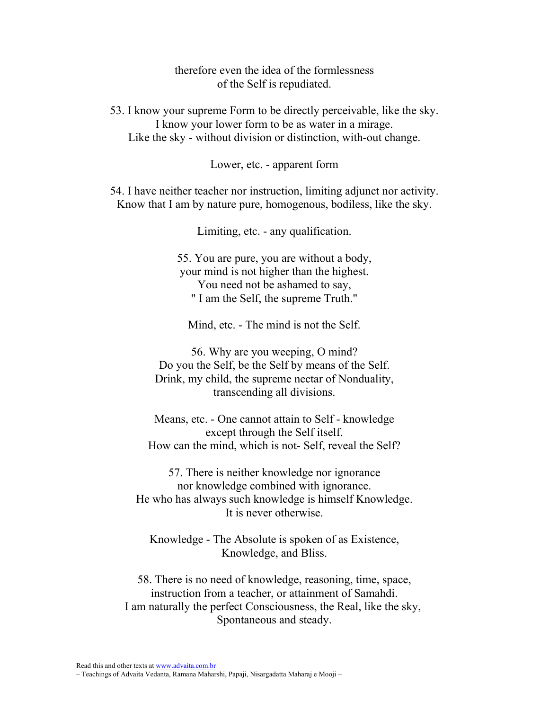therefore even the idea of the formlessness of the Self is repudiated.

53. I know your supreme Form to be directly perceivable, like the sky. I know your lower form to be as water in a mirage. Like the sky - without division or distinction, with-out change.

Lower, etc. - apparent form

54. I have neither teacher nor instruction, limiting adjunct nor activity. Know that I am by nature pure, homogenous, bodiless, like the sky.

Limiting, etc. - any qualification.

55. You are pure, you are without a body, your mind is not higher than the highest. You need not be ashamed to say, " I am the Self, the supreme Truth."

Mind, etc. - The mind is not the Self.

56. Why are you weeping, O mind? Do you the Self, be the Self by means of the Self. Drink, my child, the supreme nectar of Nonduality, transcending all divisions.

Means, etc. - One cannot attain to Self - knowledge except through the Self itself. How can the mind, which is not- Self, reveal the Self?

57. There is neither knowledge nor ignorance nor knowledge combined with ignorance. He who has always such knowledge is himself Knowledge. It is never otherwise.

Knowledge - The Absolute is spoken of as Existence, Knowledge, and Bliss.

58. There is no need of knowledge, reasoning, time, space, instruction from a teacher, or attainment of Samahdi. I am naturally the perfect Consciousness, the Real, like the sky, Spontaneous and steady.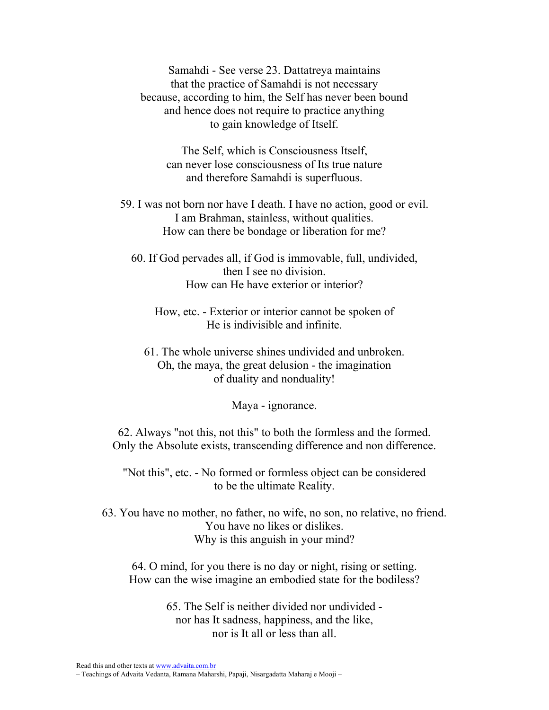Samahdi - See verse 23. Dattatreya maintains that the practice of Samahdi is not necessary because, according to him, the Self has never been bound and hence does not require to practice anything to gain knowledge of Itself.

The Self, which is Consciousness Itself, can never lose consciousness of Its true nature and therefore Samahdi is superfluous.

- 59. I was not born nor have I death. I have no action, good or evil. I am Brahman, stainless, without qualities. How can there be bondage or liberation for me?
	- 60. If God pervades all, if God is immovable, full, undivided, then I see no division. How can He have exterior or interior?
		- How, etc. Exterior or interior cannot be spoken of He is indivisible and infinite.
		- 61. The whole universe shines undivided and unbroken. Oh, the maya, the great delusion - the imagination of duality and nonduality!

Maya - ignorance.

62. Always "not this, not this" to both the formless and the formed. Only the Absolute exists, transcending difference and non difference.

"Not this", etc. - No formed or formless object can be considered to be the ultimate Reality.

63. You have no mother, no father, no wife, no son, no relative, no friend. You have no likes or dislikes. Why is this anguish in your mind?

64. O mind, for you there is no day or night, rising or setting. How can the wise imagine an embodied state for the bodiless?

> 65. The Self is neither divided nor undivided nor has It sadness, happiness, and the like, nor is It all or less than all.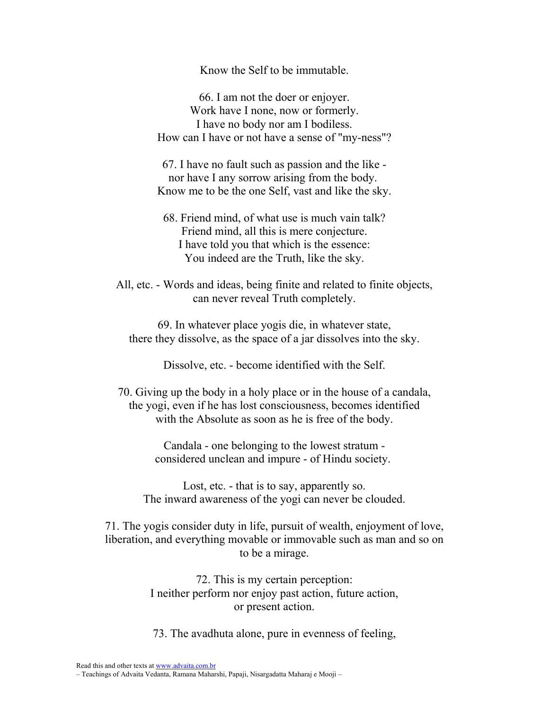Know the Self to be immutable.

66. I am not the doer or enjoyer. Work have I none, now or formerly. I have no body nor am I bodiless. How can I have or not have a sense of "my-ness"?

67. I have no fault such as passion and the like nor have I any sorrow arising from the body. Know me to be the one Self, vast and like the sky.

68. Friend mind, of what use is much vain talk? Friend mind, all this is mere conjecture. I have told you that which is the essence: You indeed are the Truth, like the sky.

All, etc. - Words and ideas, being finite and related to finite objects, can never reveal Truth completely.

69. In whatever place yogis die, in whatever state, there they dissolve, as the space of a jar dissolves into the sky.

Dissolve, etc. - become identified with the Self.

70. Giving up the body in a holy place or in the house of a candala, the yogi, even if he has lost consciousness, becomes identified with the Absolute as soon as he is free of the body.

> Candala - one belonging to the lowest stratum considered unclean and impure - of Hindu society.

Lost, etc. - that is to say, apparently so. The inward awareness of the yogi can never be clouded.

71. The yogis consider duty in life, pursuit of wealth, enjoyment of love, liberation, and everything movable or immovable such as man and so on to be a mirage.

> 72. This is my certain perception: I neither perform nor enjoy past action, future action, or present action.

73. The avadhuta alone, pure in evenness of feeling,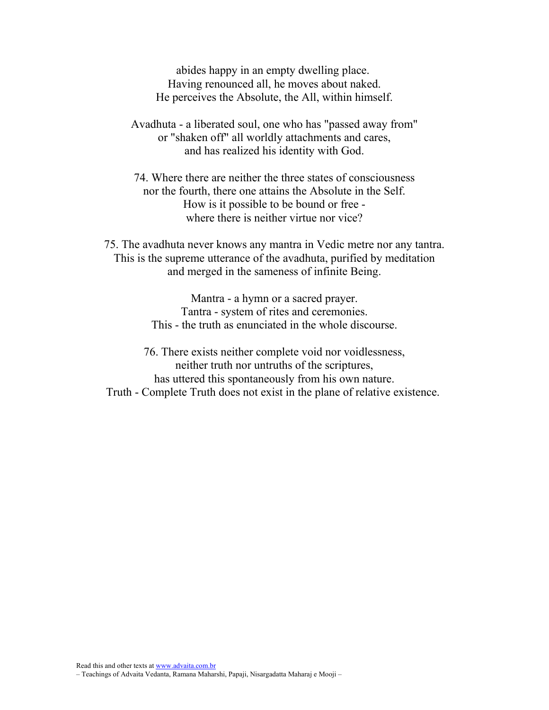abides happy in an empty dwelling place. Having renounced all, he moves about naked. He perceives the Absolute, the All, within himself.

Avadhuta - a liberated soul, one who has "passed away from" or "shaken off" all worldly attachments and cares, and has realized his identity with God.

74. Where there are neither the three states of consciousness nor the fourth, there one attains the Absolute in the Self. How is it possible to be bound or free where there is neither virtue nor vice?

75. The avadhuta never knows any mantra in Vedic metre nor any tantra. This is the supreme utterance of the avadhuta, purified by meditation and merged in the sameness of infinite Being.

> Mantra - a hymn or a sacred prayer. Tantra - system of rites and ceremonies. This - the truth as enunciated in the whole discourse.

76. There exists neither complete void nor voidlessness, neither truth nor untruths of the scriptures, has uttered this spontaneously from his own nature. Truth - Complete Truth does not exist in the plane of relative existence.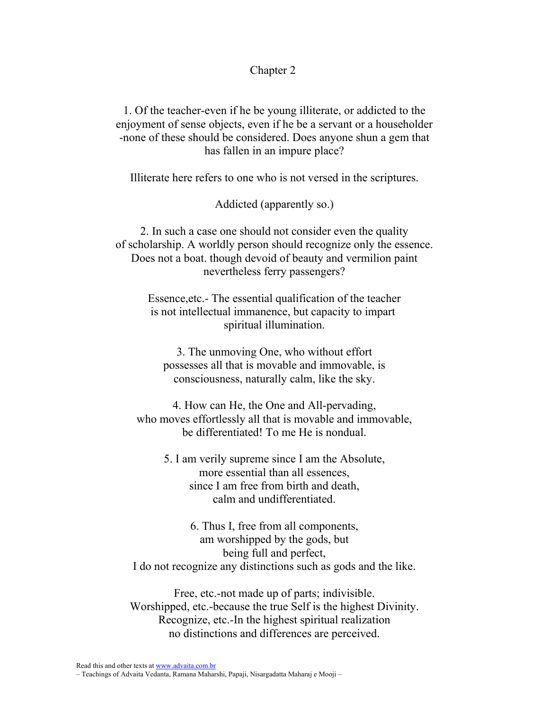## Chapter 2

1. Of the teacher-even if he be young illiterate, or addicted to the enjoyment of sense objects, even if he be a servant or a householder -none of these should be considered. Does anyone shun a gem that has fallen in an impure place?

Illiterate here refers to one who is not versed in the scriptures.

## Addicted (apparently so.)

2. In such a case one should not consider even the quality of scholarship. A worldly person should recognize only the essence. Does not a boat. though devoid of beauty and vermilion paint nevertheless ferry passengers?

> Essence,etc.- The essential qualification of the teacher is not intellectual immanence, but capacity to impart spiritual illumination.

3. The unmoving One, who without effort possesses all that is movable and immovable, is consciousness, naturally calm, like the sky.

4. How can He, the One and All-pervading, who moves effortlessly all that is movable and immovable, be differentiated! To me He is nondual.

5. I am verily supreme since I am the Absolute, more essential than all essences, since I am free from birth and death, calm and undifferentiated.

6. Thus I, free from all components, am worshipped by the gods, but being full and perfect, I do not recognize any distinctions such as gods and the like.

Free, etc.-not made up of parts; indivisible. Worshipped, etc.-because the true Self is the highest Divinity. Recognize, etc.-In the highest spiritual realization no distinctions and differences are perceived.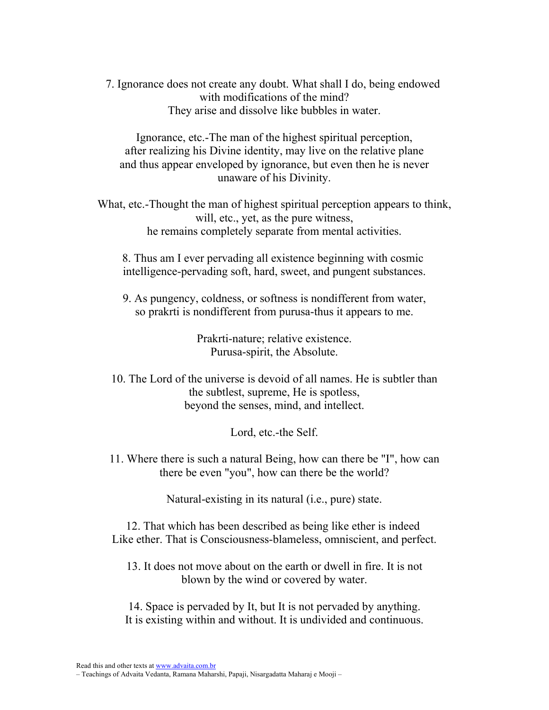7. Ignorance does not create any doubt. What shall I do, being endowed with modifications of the mind? They arise and dissolve like bubbles in water.

Ignorance, etc.-The man of the highest spiritual perception, after realizing his Divine identity, may live on the relative plane and thus appear enveloped by ignorance, but even then he is never unaware of his Divinity.

What, etc.-Thought the man of highest spiritual perception appears to think, will, etc., yet, as the pure witness, he remains completely separate from mental activities.

8. Thus am I ever pervading all existence beginning with cosmic intelligence-pervading soft, hard, sweet, and pungent substances.

9. As pungency, coldness, or softness is nondifferent from water, so prakrti is nondifferent from purusa-thus it appears to me.

> Prakrti-nature; relative existence. Purusa-spirit, the Absolute.

10. The Lord of the universe is devoid of all names. He is subtler than the subtlest, supreme, He is spotless, beyond the senses, mind, and intellect.

Lord, etc.-the Self.

11. Where there is such a natural Being, how can there be "I", how can there be even "you", how can there be the world?

Natural-existing in its natural (i.e., pure) state.

12. That which has been described as being like ether is indeed Like ether. That is Consciousness-blameless, omniscient, and perfect.

13. It does not move about on the earth or dwell in fire. It is not blown by the wind or covered by water.

14. Space is pervaded by It, but It is not pervaded by anything. It is existing within and without. It is undivided and continuous.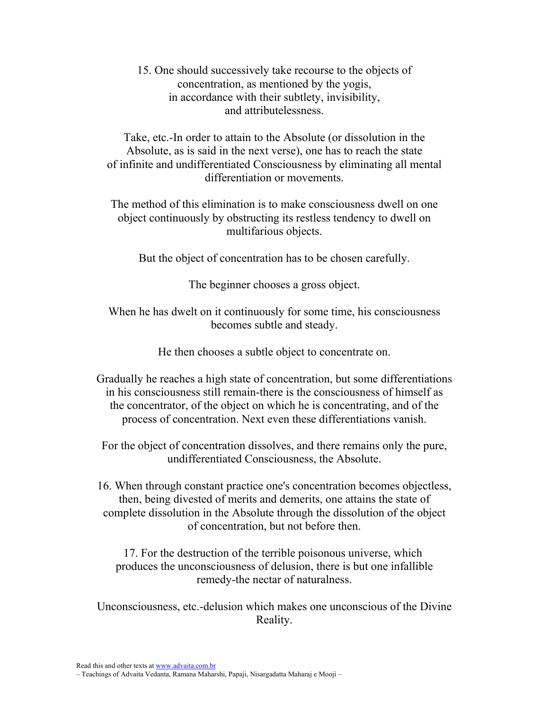15. One should successively take recourse to the objects of concentration, as mentioned by the yogis, in accordance with their subtlety, invisibility, and attributelessness.

Take, etc.-In order to attain to the Absolute (or dissolution in the Absolute, as is said in the next verse), one has to reach the state of infinite and undifferentiated Consciousness by eliminating all mental differentiation or movements.

The method of this elimination is to make consciousness dwell on one object continuously by obstructing its restless tendency to dwell on multifarious objects.

But the object of concentration has to be chosen carefully.

The beginner chooses a gross object.

When he has dwelt on it continuously for some time, his consciousness becomes subtle and steady.

He then chooses a subtle object to concentrate on.

Gradually he reaches a high state of concentration, but some differentiations in his consciousness still remain-there is the consciousness of himself as the concentrator, of the object on which he is concentrating, and of the process of concentration. Next even these differentiations vanish.

For the object of concentration dissolves, and there remains only the pure, undifferentiated Consciousness, the Absolute.

16. When through constant practice one's concentration becomes objectless, then, being divested of merits and demerits, one attains the state of complete dissolution in the Absolute through the dissolution of the object of concentration, but not before then.

17. For the destruction of the terrible poisonous universe, which produces the unconsciousness of delusion, there is but one infallible remedy-the nectar of naturalness.

Unconsciousness, etc.-delusion which makes one unconscious of the Divine Reality.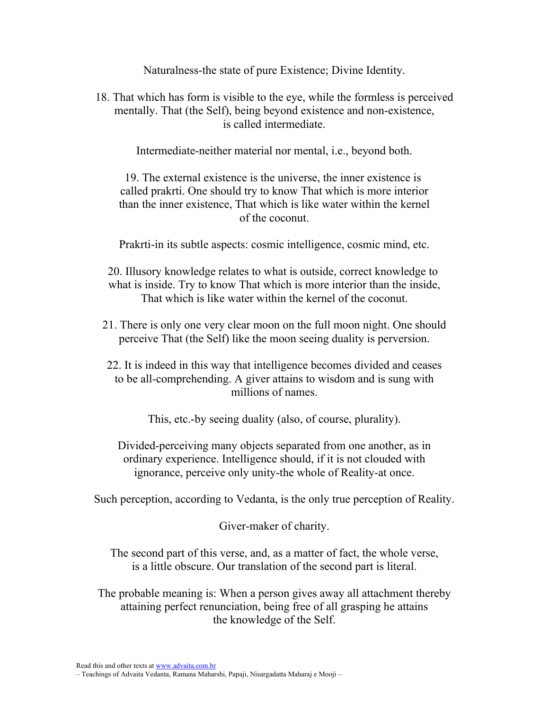Naturalness-the state of pure Existence; Divine Identity.

18. That which has form is visible to the eye, while the formless is perceived mentally. That (the Self), being beyond existence and non-existence, is called intermediate.

Intermediate-neither material nor mental, i.e., beyond both.

19. The external existence is the universe, the inner existence is called prakrti. One should try to know That which is more interior than the inner existence, That which is like water within the kernel of the coconut.

Prakrti-in its subtle aspects: cosmic intelligence, cosmic mind, etc.

20. Illusory knowledge relates to what is outside, correct knowledge to what is inside. Try to know That which is more interior than the inside, That which is like water within the kernel of the coconut.

- 21. There is only one very clear moon on the full moon night. One should perceive That (the Self) like the moon seeing duality is perversion.
- 22. It is indeed in this way that intelligence becomes divided and ceases to be all-comprehending. A giver attains to wisdom and is sung with millions of names.

This, etc.-by seeing duality (also, of course, plurality).

Divided-perceiving many objects separated from one another, as in ordinary experience. Intelligence should, if it is not clouded with ignorance, perceive only unity-the whole of Reality-at once.

Such perception, according to Vedanta, is the only true perception of Reality.

Giver-maker of charity.

The second part of this verse, and, as a matter of fact, the whole verse, is a little obscure. Our translation of the second part is literal.

The probable meaning is: When a person gives away all attachment thereby attaining perfect renunciation, being free of all grasping he attains the knowledge of the Self.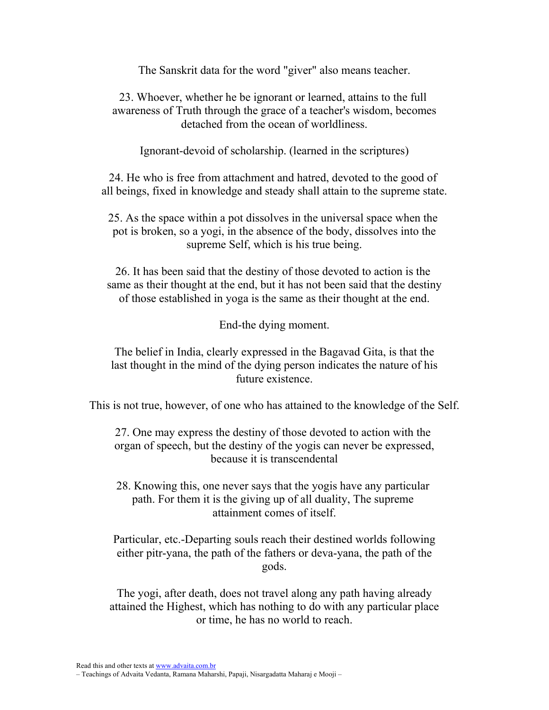The Sanskrit data for the word "giver" also means teacher.

23. Whoever, whether he be ignorant or learned, attains to the full awareness of Truth through the grace of a teacher's wisdom, becomes detached from the ocean of worldliness.

Ignorant-devoid of scholarship. (learned in the scriptures)

24. He who is free from attachment and hatred, devoted to the good of all beings, fixed in knowledge and steady shall attain to the supreme state.

25. As the space within a pot dissolves in the universal space when the pot is broken, so a yogi, in the absence of the body, dissolves into the supreme Self, which is his true being.

26. It has been said that the destiny of those devoted to action is the same as their thought at the end, but it has not been said that the destiny of those established in yoga is the same as their thought at the end.

End-the dying moment.

The belief in India, clearly expressed in the Bagavad Gita, is that the last thought in the mind of the dying person indicates the nature of his future existence.

This is not true, however, of one who has attained to the knowledge of the Self.

27. One may express the destiny of those devoted to action with the organ of speech, but the destiny of the yogis can never be expressed, because it is transcendental

28. Knowing this, one never says that the yogis have any particular path. For them it is the giving up of all duality, The supreme attainment comes of itself.

Particular, etc.-Departing souls reach their destined worlds following either pitr-yana, the path of the fathers or deva-yana, the path of the gods.

The yogi, after death, does not travel along any path having already attained the Highest, which has nothing to do with any particular place or time, he has no world to reach.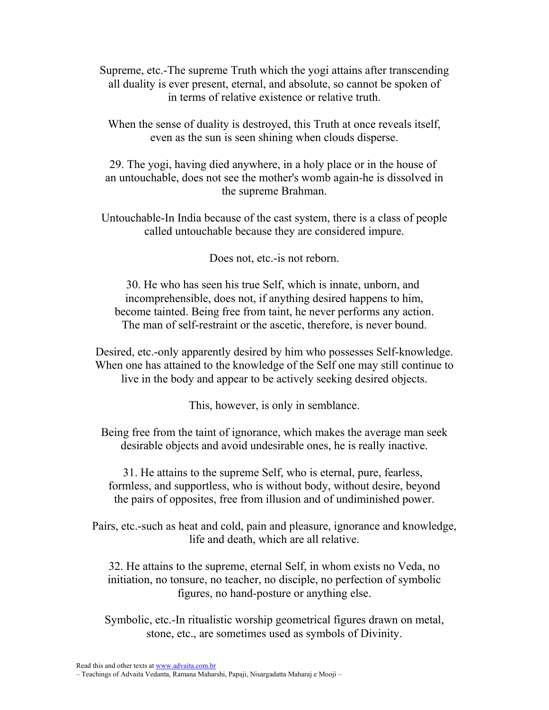Supreme, etc.-The supreme Truth which the yogi attains after transcending all duality is ever present, eternal, and absolute, so cannot be spoken of in terms of relative existence or relative truth.

When the sense of duality is destroyed, this Truth at once reveals itself, even as the sun is seen shining when clouds disperse.

29. The yogi, having died anywhere, in a holy place or in the house of an untouchable, does not see the mother's womb again-he is dissolved in the supreme Brahman.

Untouchable-In India because of the cast system, there is a class of people called untouchable because they are considered impure.

Does not, etc.-is not reborn.

30. He who has seen his true Self, which is innate, unborn, and incomprehensible, does not, if anything desired happens to him, become tainted. Being free from taint, he never performs any action. The man of self-restraint or the ascetic, therefore, is never bound.

Desired, etc.-only apparently desired by him who possesses Self-knowledge. When one has attained to the knowledge of the Self one may still continue to live in the body and appear to be actively seeking desired objects.

This, however, is only in semblance.

Being free from the taint of ignorance, which makes the average man seek desirable objects and avoid undesirable ones, he is really inactive.

31. He attains to the supreme Self, who is eternal, pure, fearless, formless, and supportless, who is without body, without desire, beyond the pairs of opposites, free from illusion and of undiminished power.

Pairs, etc.-such as heat and cold, pain and pleasure, ignorance and knowledge, life and death, which are all relative.

32. He attains to the supreme, eternal Self, in whom exists no Veda, no initiation, no tonsure, no teacher, no disciple, no perfection of symbolic figures, no hand-posture or anything else.

Symbolic, etc.-In ritualistic worship geometrical figures drawn on metal, stone, etc., are sometimes used as symbols of Divinity.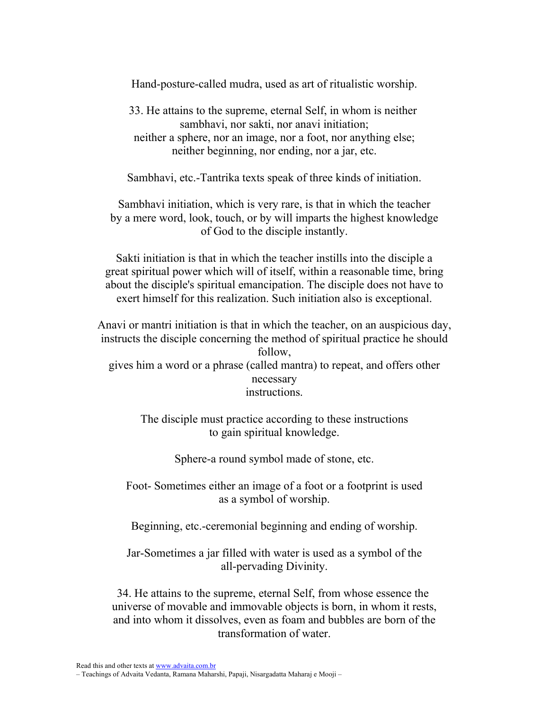Hand-posture-called mudra, used as art of ritualistic worship.

33. He attains to the supreme, eternal Self, in whom is neither sambhavi, nor sakti, nor anavi initiation; neither a sphere, nor an image, nor a foot, nor anything else; neither beginning, nor ending, nor a jar, etc.

Sambhavi, etc.-Tantrika texts speak of three kinds of initiation.

Sambhavi initiation, which is very rare, is that in which the teacher by a mere word, look, touch, or by will imparts the highest knowledge of God to the disciple instantly.

Sakti initiation is that in which the teacher instills into the disciple a great spiritual power which will of itself, within a reasonable time, bring about the disciple's spiritual emancipation. The disciple does not have to exert himself for this realization. Such initiation also is exceptional.

Anavi or mantri initiation is that in which the teacher, on an auspicious day, instructs the disciple concerning the method of spiritual practice he should follow, gives him a word or a phrase (called mantra) to repeat, and offers other necessary instructions.

> The disciple must practice according to these instructions to gain spiritual knowledge.

> > Sphere-a round symbol made of stone, etc.

Foot- Sometimes either an image of a foot or a footprint is used as a symbol of worship.

Beginning, etc.-ceremonial beginning and ending of worship.

Jar-Sometimes a jar filled with water is used as a symbol of the all-pervading Divinity.

34. He attains to the supreme, eternal Self, from whose essence the universe of movable and immovable objects is born, in whom it rests, and into whom it dissolves, even as foam and bubbles are born of the transformation of water.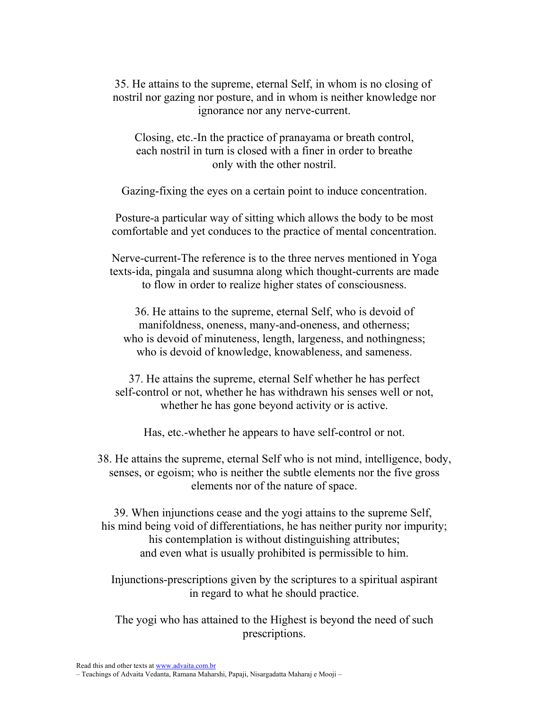35. He attains to the supreme, eternal Self, in whom is no closing of nostril nor gazing nor posture, and in whom is neither knowledge nor ignorance nor any nerve-current.

Closing, etc.-In the practice of pranayama or breath control, each nostril in turn is closed with a finer in order to breathe only with the other nostril.

Gazing-fixing the eyes on a certain point to induce concentration.

Posture-a particular way of sitting which allows the body to be most comfortable and yet conduces to the practice of mental concentration.

Nerve-current-The reference is to the three nerves mentioned in Yoga texts-ida, pingala and susumna along which thought-currents are made to flow in order to realize higher states of consciousness.

36. He attains to the supreme, eternal Self, who is devoid of manifoldness, oneness, many-and-oneness, and otherness; who is devoid of minuteness, length, largeness, and nothingness; who is devoid of knowledge, knowableness, and sameness.

37. He attains the supreme, eternal Self whether he has perfect self-control or not, whether he has withdrawn his senses well or not, whether he has gone beyond activity or is active.

Has, etc.-whether he appears to have self-control or not.

38. He attains the supreme, eternal Self who is not mind, intelligence, body, senses, or egoism; who is neither the subtle elements nor the five gross elements nor of the nature of space.

39. When injunctions cease and the yogi attains to the supreme Self, his mind being void of differentiations, he has neither purity nor impurity; his contemplation is without distinguishing attributes; and even what is usually prohibited is permissible to him.

Injunctions-prescriptions given by the scriptures to a spiritual aspirant in regard to what he should practice.

The yogi who has attained to the Highest is beyond the need of such prescriptions.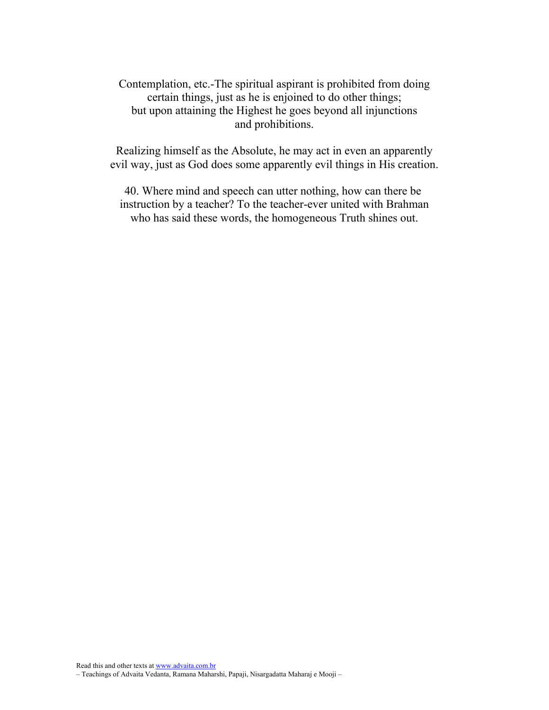Contemplation, etc.-The spiritual aspirant is prohibited from doing certain things, just as he is enjoined to do other things; but upon attaining the Highest he goes beyond all injunctions and prohibitions.

Realizing himself as the Absolute, he may act in even an apparently evil way, just as God does some apparently evil things in His creation.

40. Where mind and speech can utter nothing, how can there be instruction by a teacher? To the teacher-ever united with Brahman who has said these words, the homogeneous Truth shines out.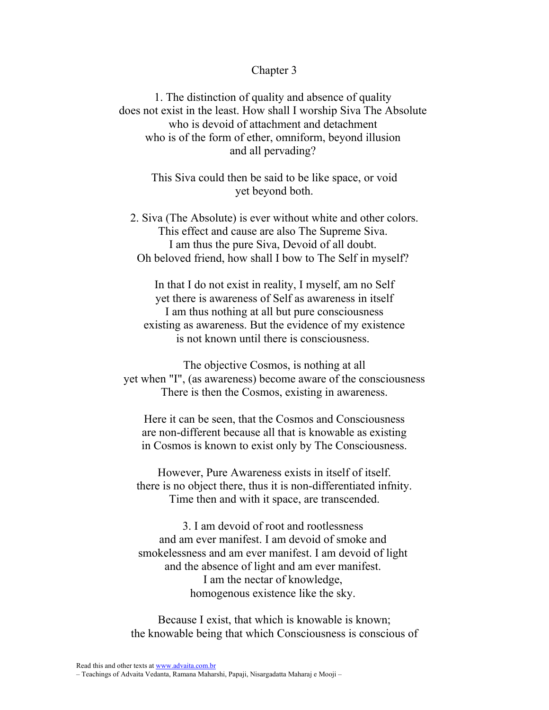## Chapter 3

1. The distinction of quality and absence of quality does not exist in the least. How shall I worship Siva The Absolute who is devoid of attachment and detachment who is of the form of ether, omniform, beyond illusion and all pervading?

> This Siva could then be said to be like space, or void yet beyond both.

2. Siva (The Absolute) is ever without white and other colors. This effect and cause are also The Supreme Siva. I am thus the pure Siva, Devoid of all doubt. Oh beloved friend, how shall I bow to The Self in myself?

In that I do not exist in reality, I myself, am no Self yet there is awareness of Self as awareness in itself I am thus nothing at all but pure consciousness existing as awareness. But the evidence of my existence is not known until there is consciousness.

The objective Cosmos, is nothing at all yet when "I", (as awareness) become aware of the consciousness There is then the Cosmos, existing in awareness.

Here it can be seen, that the Cosmos and Consciousness are non-different because all that is knowable as existing in Cosmos is known to exist only by The Consciousness.

However, Pure Awareness exists in itself of itself. there is no object there, thus it is non-differentiated infnity. Time then and with it space, are transcended.

3. I am devoid of root and rootlessness and am ever manifest. I am devoid of smoke and smokelessness and am ever manifest. I am devoid of light and the absence of light and am ever manifest. I am the nectar of knowledge, homogenous existence like the sky.

Because I exist, that which is knowable is known; the knowable being that which Consciousness is conscious of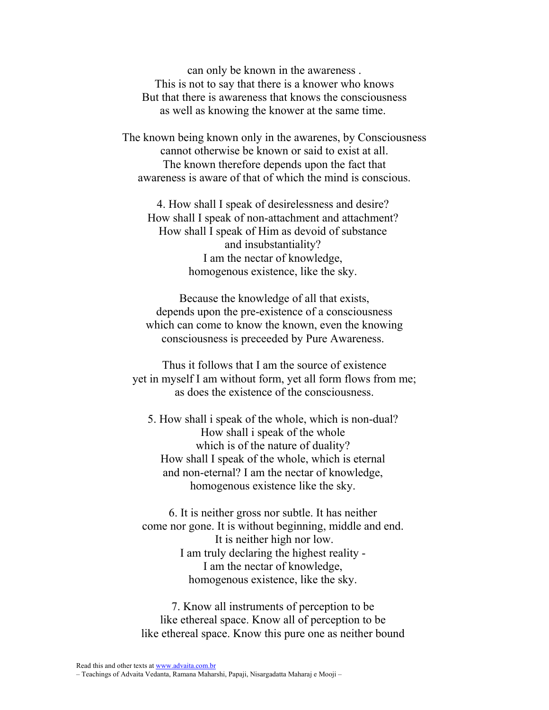can only be known in the awareness . This is not to say that there is a knower who knows But that there is awareness that knows the consciousness as well as knowing the knower at the same time.

The known being known only in the awarenes, by Consciousness cannot otherwise be known or said to exist at all. The known therefore depends upon the fact that awareness is aware of that of which the mind is conscious.

4. How shall I speak of desirelessness and desire? How shall I speak of non-attachment and attachment? How shall I speak of Him as devoid of substance and insubstantiality? I am the nectar of knowledge, homogenous existence, like the sky.

Because the knowledge of all that exists, depends upon the pre-existence of a consciousness which can come to know the known, even the knowing consciousness is preceeded by Pure Awareness.

Thus it follows that I am the source of existence yet in myself I am without form, yet all form flows from me; as does the existence of the consciousness.

5. How shall i speak of the whole, which is non-dual? How shall i speak of the whole which is of the nature of duality? How shall I speak of the whole, which is eternal and non-eternal? I am the nectar of knowledge, homogenous existence like the sky.

6. It is neither gross nor subtle. It has neither come nor gone. It is without beginning, middle and end. It is neither high nor low. I am truly declaring the highest reality - I am the nectar of knowledge, homogenous existence, like the sky.

7. Know all instruments of perception to be like ethereal space. Know all of perception to be like ethereal space. Know this pure one as neither bound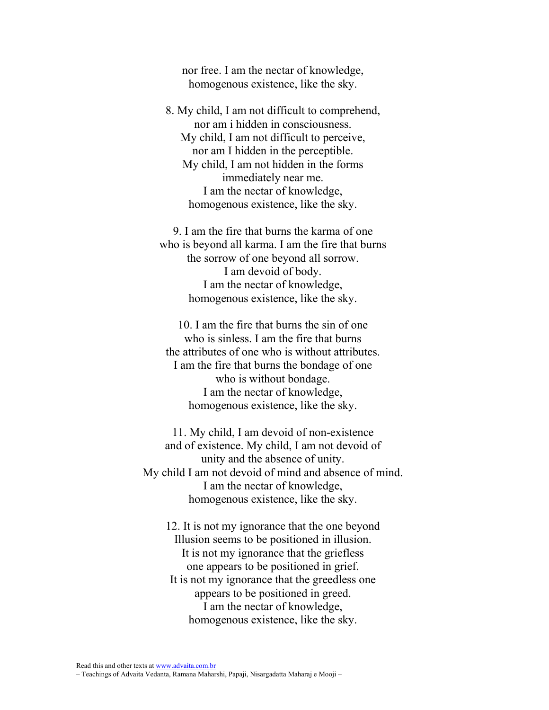nor free. I am the nectar of knowledge, homogenous existence, like the sky.

8. My child, I am not difficult to comprehend, nor am i hidden in consciousness. My child, I am not difficult to perceive, nor am I hidden in the perceptible. My child, I am not hidden in the forms immediately near me. I am the nectar of knowledge, homogenous existence, like the sky.

9. I am the fire that burns the karma of one who is beyond all karma. I am the fire that burns the sorrow of one beyond all sorrow. I am devoid of body. I am the nectar of knowledge, homogenous existence, like the sky.

10. I am the fire that burns the sin of one who is sinless. I am the fire that burns the attributes of one who is without attributes. I am the fire that burns the bondage of one who is without bondage. I am the nectar of knowledge, homogenous existence, like the sky.

11. My child, I am devoid of non-existence and of existence. My child, I am not devoid of unity and the absence of unity. My child I am not devoid of mind and absence of mind. I am the nectar of knowledge, homogenous existence, like the sky.

12. It is not my ignorance that the one beyond Illusion seems to be positioned in illusion. It is not my ignorance that the griefless one appears to be positioned in grief. It is not my ignorance that the greedless one appears to be positioned in greed. I am the nectar of knowledge, homogenous existence, like the sky.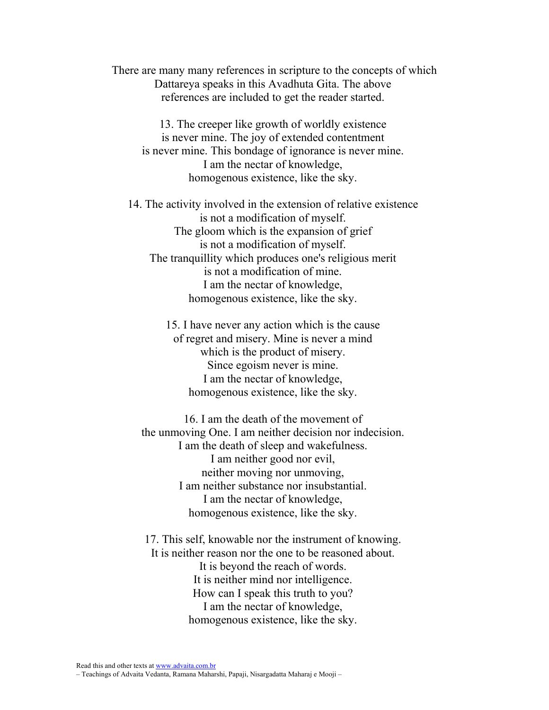There are many many references in scripture to the concepts of which Dattareya speaks in this Avadhuta Gita. The above references are included to get the reader started.

13. The creeper like growth of worldly existence is never mine. The joy of extended contentment is never mine. This bondage of ignorance is never mine. I am the nectar of knowledge, homogenous existence, like the sky.

14. The activity involved in the extension of relative existence is not a modification of myself. The gloom which is the expansion of grief is not a modification of myself. The tranquillity which produces one's religious merit is not a modification of mine. I am the nectar of knowledge, homogenous existence, like the sky.

> 15. I have never any action which is the cause of regret and misery. Mine is never a mind which is the product of misery. Since egoism never is mine. I am the nectar of knowledge, homogenous existence, like the sky.

16. I am the death of the movement of the unmoving One. I am neither decision nor indecision. I am the death of sleep and wakefulness. I am neither good nor evil, neither moving nor unmoving, I am neither substance nor insubstantial. I am the nectar of knowledge, homogenous existence, like the sky.

17. This self, knowable nor the instrument of knowing. It is neither reason nor the one to be reasoned about. It is beyond the reach of words. It is neither mind nor intelligence. How can I speak this truth to you? I am the nectar of knowledge, homogenous existence, like the sky.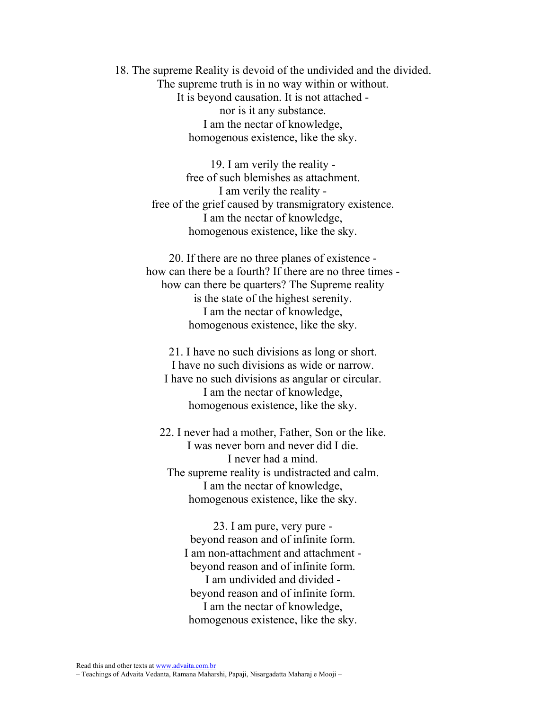18. The supreme Reality is devoid of the undivided and the divided. The supreme truth is in no way within or without. It is beyond causation. It is not attached nor is it any substance. I am the nectar of knowledge, homogenous existence, like the sky.

> 19. I am verily the reality free of such blemishes as attachment. I am verily the reality free of the grief caused by transmigratory existence. I am the nectar of knowledge, homogenous existence, like the sky.

20. If there are no three planes of existence how can there be a fourth? If there are no three times how can there be quarters? The Supreme reality is the state of the highest serenity. I am the nectar of knowledge, homogenous existence, like the sky.

21. I have no such divisions as long or short. I have no such divisions as wide or narrow. I have no such divisions as angular or circular. I am the nectar of knowledge, homogenous existence, like the sky.

22. I never had a mother, Father, Son or the like. I was never born and never did I die. I never had a mind. The supreme reality is undistracted and calm. I am the nectar of knowledge, homogenous existence, like the sky.

> 23. I am pure, very pure beyond reason and of infinite form. I am non-attachment and attachment beyond reason and of infinite form. I am undivided and divided beyond reason and of infinite form. I am the nectar of knowledge, homogenous existence, like the sky.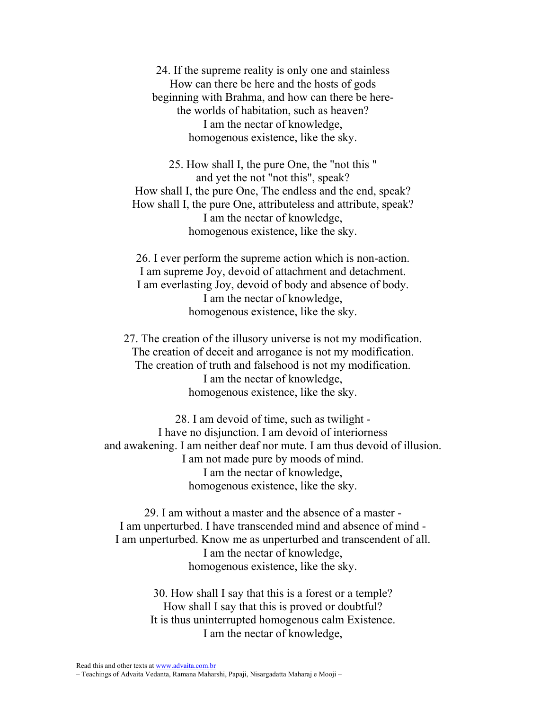24. If the supreme reality is only one and stainless How can there be here and the hosts of gods beginning with Brahma, and how can there be herethe worlds of habitation, such as heaven? I am the nectar of knowledge, homogenous existence, like the sky.

25. How shall I, the pure One, the "not this " and yet the not "not this", speak? How shall I, the pure One, The endless and the end, speak? How shall I, the pure One, attributeless and attribute, speak? I am the nectar of knowledge, homogenous existence, like the sky.

26. I ever perform the supreme action which is non-action. I am supreme Joy, devoid of attachment and detachment. I am everlasting Joy, devoid of body and absence of body. I am the nectar of knowledge, homogenous existence, like the sky.

27. The creation of the illusory universe is not my modification. The creation of deceit and arrogance is not my modification. The creation of truth and falsehood is not my modification. I am the nectar of knowledge, homogenous existence, like the sky.

28. I am devoid of time, such as twilight - I have no disjunction. I am devoid of interiorness and awakening. I am neither deaf nor mute. I am thus devoid of illusion. I am not made pure by moods of mind. I am the nectar of knowledge, homogenous existence, like the sky.

29. I am without a master and the absence of a master - I am unperturbed. I have transcended mind and absence of mind - I am unperturbed. Know me as unperturbed and transcendent of all. I am the nectar of knowledge, homogenous existence, like the sky.

> 30. How shall I say that this is a forest or a temple? How shall I say that this is proved or doubtful? It is thus uninterrupted homogenous calm Existence. I am the nectar of knowledge,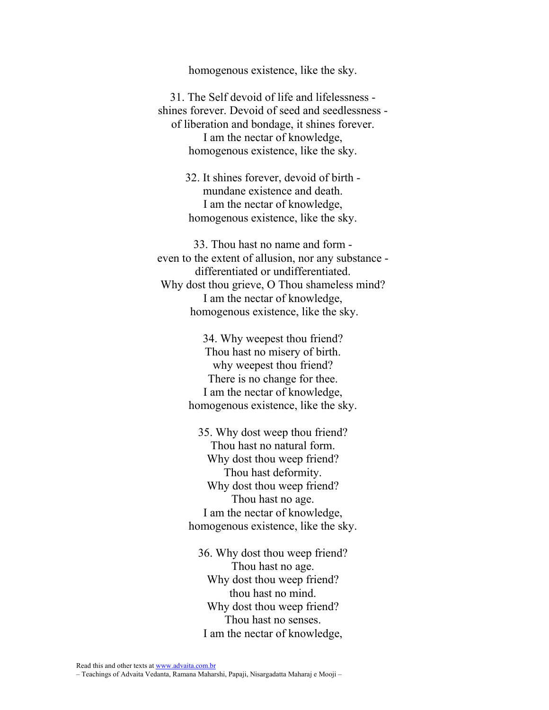homogenous existence, like the sky.

31. The Self devoid of life and lifelessness shines forever. Devoid of seed and seedlessness of liberation and bondage, it shines forever. I am the nectar of knowledge, homogenous existence, like the sky.

> 32. It shines forever, devoid of birth mundane existence and death. I am the nectar of knowledge, homogenous existence, like the sky.

33. Thou hast no name and form even to the extent of allusion, nor any substance differentiated or undifferentiated. Why dost thou grieve, O Thou shameless mind? I am the nectar of knowledge, homogenous existence, like the sky.

> 34. Why weepest thou friend? Thou hast no misery of birth. why weepest thou friend? There is no change for thee. I am the nectar of knowledge, homogenous existence, like the sky.

> 35. Why dost weep thou friend? Thou hast no natural form. Why dost thou weep friend? Thou hast deformity. Why dost thou weep friend? Thou hast no age. I am the nectar of knowledge, homogenous existence, like the sky.

36. Why dost thou weep friend? Thou hast no age. Why dost thou weep friend? thou hast no mind. Why dost thou weep friend? Thou hast no senses. I am the nectar of knowledge,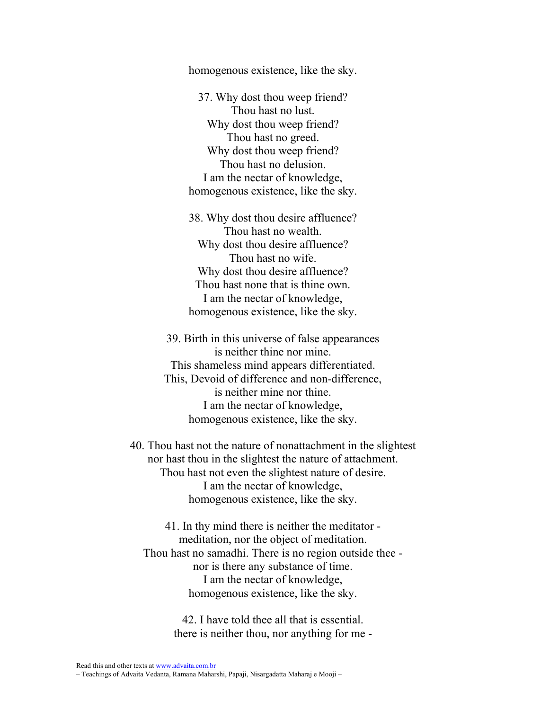homogenous existence, like the sky.

37. Why dost thou weep friend? Thou hast no lust. Why dost thou weep friend? Thou hast no greed. Why dost thou weep friend? Thou hast no delusion. I am the nectar of knowledge, homogenous existence, like the sky.

38. Why dost thou desire affluence? Thou hast no wealth. Why dost thou desire affluence? Thou hast no wife. Why dost thou desire affluence? Thou hast none that is thine own. I am the nectar of knowledge, homogenous existence, like the sky.

39. Birth in this universe of false appearances is neither thine nor mine. This shameless mind appears differentiated. This, Devoid of difference and non-difference, is neither mine nor thine. I am the nectar of knowledge, homogenous existence, like the sky.

40. Thou hast not the nature of nonattachment in the slightest nor hast thou in the slightest the nature of attachment. Thou hast not even the slightest nature of desire. I am the nectar of knowledge, homogenous existence, like the sky.

41. In thy mind there is neither the meditator meditation, nor the object of meditation. Thou hast no samadhi. There is no region outside thee nor is there any substance of time. I am the nectar of knowledge, homogenous existence, like the sky.

> 42. I have told thee all that is essential. there is neither thou, nor anything for me -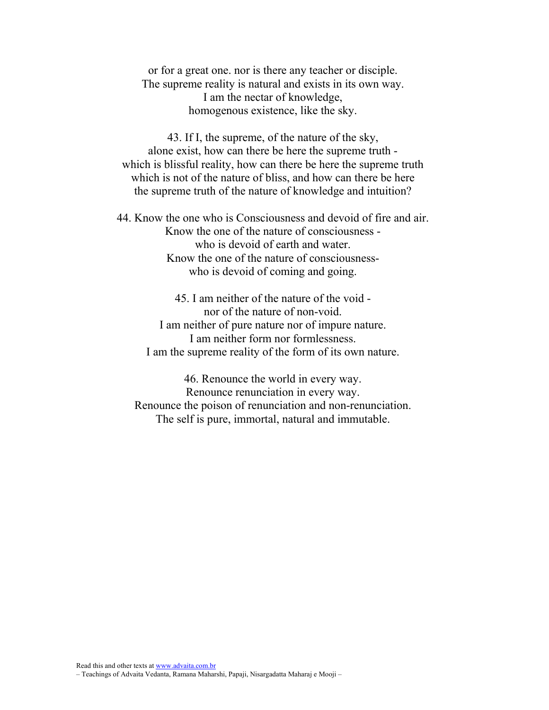or for a great one. nor is there any teacher or disciple. The supreme reality is natural and exists in its own way. I am the nectar of knowledge, homogenous existence, like the sky.

43. If I, the supreme, of the nature of the sky, alone exist, how can there be here the supreme truth which is blissful reality, how can there be here the supreme truth which is not of the nature of bliss, and how can there be here the supreme truth of the nature of knowledge and intuition?

44. Know the one who is Consciousness and devoid of fire and air. Know the one of the nature of consciousness who is devoid of earth and water. Know the one of the nature of consciousnesswho is devoid of coming and going.

45. I am neither of the nature of the void nor of the nature of non-void. I am neither of pure nature nor of impure nature. I am neither form nor formlessness. I am the supreme reality of the form of its own nature.

46. Renounce the world in every way. Renounce renunciation in every way. Renounce the poison of renunciation and non-renunciation. The self is pure, immortal, natural and immutable.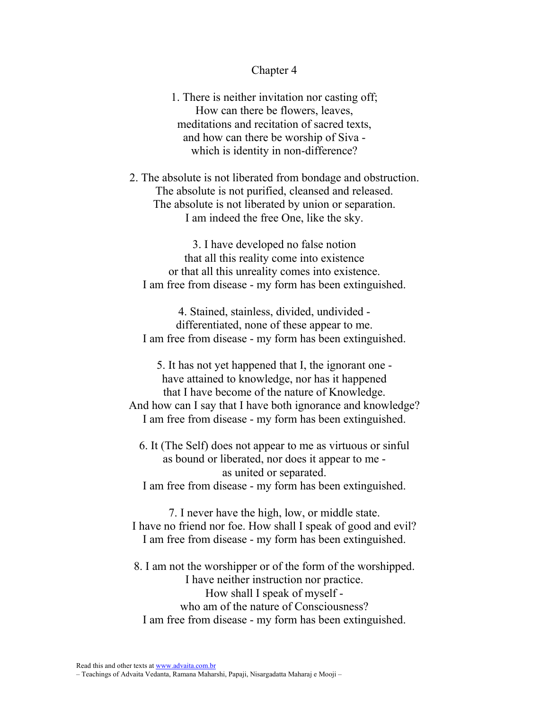### Chapter 4

1. There is neither invitation nor casting off; How can there be flowers, leaves, meditations and recitation of sacred texts, and how can there be worship of Siva which is identity in non-difference?

2. The absolute is not liberated from bondage and obstruction. The absolute is not purified, cleansed and released. The absolute is not liberated by union or separation. I am indeed the free One, like the sky.

3. I have developed no false notion that all this reality come into existence or that all this unreality comes into existence. I am free from disease - my form has been extinguished.

4. Stained, stainless, divided, undivided differentiated, none of these appear to me. I am free from disease - my form has been extinguished.

5. It has not yet happened that I, the ignorant one have attained to knowledge, nor has it happened that I have become of the nature of Knowledge. And how can I say that I have both ignorance and knowledge? I am free from disease - my form has been extinguished.

6. It (The Self) does not appear to me as virtuous or sinful as bound or liberated, nor does it appear to me as united or separated. I am free from disease - my form has been extinguished.

7. I never have the high, low, or middle state. I have no friend nor foe. How shall I speak of good and evil? I am free from disease - my form has been extinguished.

8. I am not the worshipper or of the form of the worshipped. I have neither instruction nor practice. How shall I speak of myself who am of the nature of Consciousness? I am free from disease - my form has been extinguished.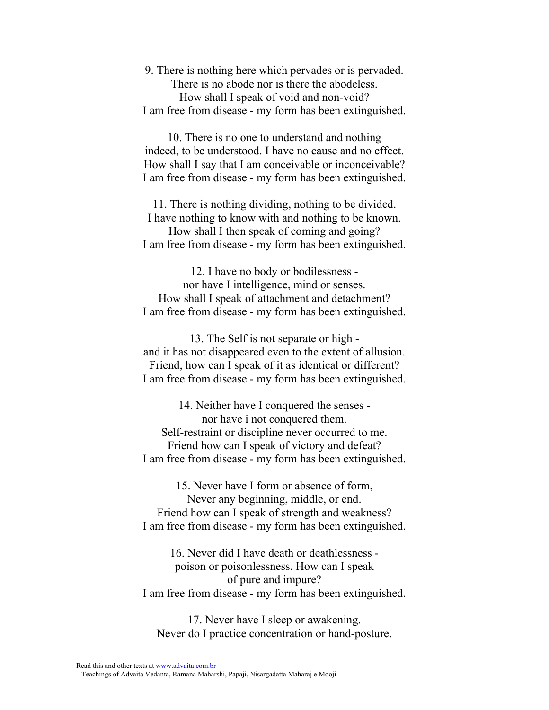9. There is nothing here which pervades or is pervaded. There is no abode nor is there the abodeless. How shall I speak of void and non-void? I am free from disease - my form has been extinguished.

10. There is no one to understand and nothing indeed, to be understood. I have no cause and no effect. How shall I say that I am conceivable or inconceivable? I am free from disease - my form has been extinguished.

11. There is nothing dividing, nothing to be divided. I have nothing to know with and nothing to be known.

How shall I then speak of coming and going? I am free from disease - my form has been extinguished.

12. I have no body or bodilessness nor have I intelligence, mind or senses. How shall I speak of attachment and detachment? I am free from disease - my form has been extinguished.

13. The Self is not separate or high and it has not disappeared even to the extent of allusion. Friend, how can I speak of it as identical or different? I am free from disease - my form has been extinguished.

14. Neither have I conquered the senses nor have i not conquered them. Self-restraint or discipline never occurred to me. Friend how can I speak of victory and defeat? I am free from disease - my form has been extinguished.

15. Never have I form or absence of form, Never any beginning, middle, or end. Friend how can I speak of strength and weakness? I am free from disease - my form has been extinguished.

16. Never did I have death or deathlessness poison or poisonlessness. How can I speak of pure and impure? I am free from disease - my form has been extinguished.

17. Never have I sleep or awakening. Never do I practice concentration or hand-posture.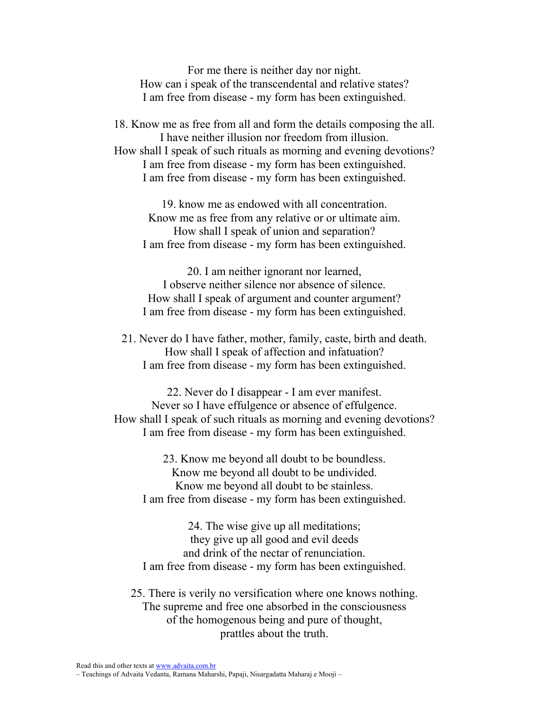For me there is neither day nor night. How can i speak of the transcendental and relative states? I am free from disease - my form has been extinguished.

18. Know me as free from all and form the details composing the all. I have neither illusion nor freedom from illusion. How shall I speak of such rituals as morning and evening devotions? I am free from disease - my form has been extinguished. I am free from disease - my form has been extinguished.

19. know me as endowed with all concentration. Know me as free from any relative or or ultimate aim. How shall I speak of union and separation? I am free from disease - my form has been extinguished.

20. I am neither ignorant nor learned, I observe neither silence nor absence of silence. How shall I speak of argument and counter argument? I am free from disease - my form has been extinguished.

21. Never do I have father, mother, family, caste, birth and death. How shall I speak of affection and infatuation? I am free from disease - my form has been extinguished.

22. Never do I disappear - I am ever manifest. Never so I have effulgence or absence of effulgence. How shall I speak of such rituals as morning and evening devotions? I am free from disease - my form has been extinguished.

23. Know me beyond all doubt to be boundless. Know me beyond all doubt to be undivided. Know me beyond all doubt to be stainless. I am free from disease - my form has been extinguished.

24. The wise give up all meditations; they give up all good and evil deeds and drink of the nectar of renunciation. I am free from disease - my form has been extinguished.

25. There is verily no versification where one knows nothing. The supreme and free one absorbed in the consciousness of the homogenous being and pure of thought, prattles about the truth.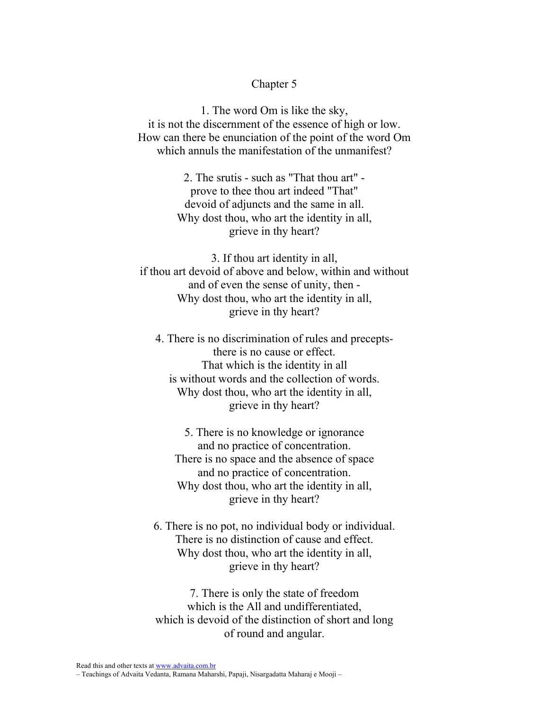## Chapter 5

1. The word Om is like the sky, it is not the discernment of the essence of high or low. How can there be enunciation of the point of the word Om which annuls the manifestation of the unmanifest?

> 2. The srutis - such as "That thou art" prove to thee thou art indeed "That" devoid of adjuncts and the same in all. Why dost thou, who art the identity in all, grieve in thy heart?

3. If thou art identity in all, if thou art devoid of above and below, within and without and of even the sense of unity, then - Why dost thou, who art the identity in all, grieve in thy heart?

4. There is no discrimination of rules and preceptsthere is no cause or effect. That which is the identity in all is without words and the collection of words. Why dost thou, who art the identity in all, grieve in thy heart?

5. There is no knowledge or ignorance and no practice of concentration. There is no space and the absence of space and no practice of concentration. Why dost thou, who art the identity in all, grieve in thy heart?

6. There is no pot, no individual body or individual. There is no distinction of cause and effect. Why dost thou, who art the identity in all, grieve in thy heart?

7. There is only the state of freedom which is the All and undifferentiated, which is devoid of the distinction of short and long of round and angular.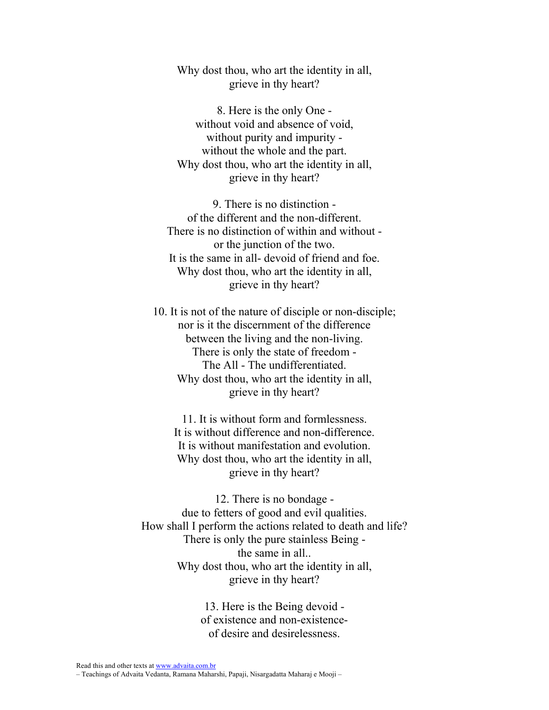Why dost thou, who art the identity in all, grieve in thy heart?

8. Here is the only One without void and absence of void, without purity and impurity without the whole and the part. Why dost thou, who art the identity in all, grieve in thy heart?

9. There is no distinction of the different and the non-different. There is no distinction of within and without or the junction of the two. It is the same in all- devoid of friend and foe. Why dost thou, who art the identity in all, grieve in thy heart?

10. It is not of the nature of disciple or non-disciple; nor is it the discernment of the difference between the living and the non-living. There is only the state of freedom - The All - The undifferentiated. Why dost thou, who art the identity in all, grieve in thy heart?

11. It is without form and formlessness. It is without difference and non-difference. It is without manifestation and evolution. Why dost thou, who art the identity in all, grieve in thy heart?

12. There is no bondage due to fetters of good and evil qualities. How shall I perform the actions related to death and life? There is only the pure stainless Being the same in all.. Why dost thou, who art the identity in all, grieve in thy heart?

> 13. Here is the Being devoid of existence and non-existenceof desire and desirelessness.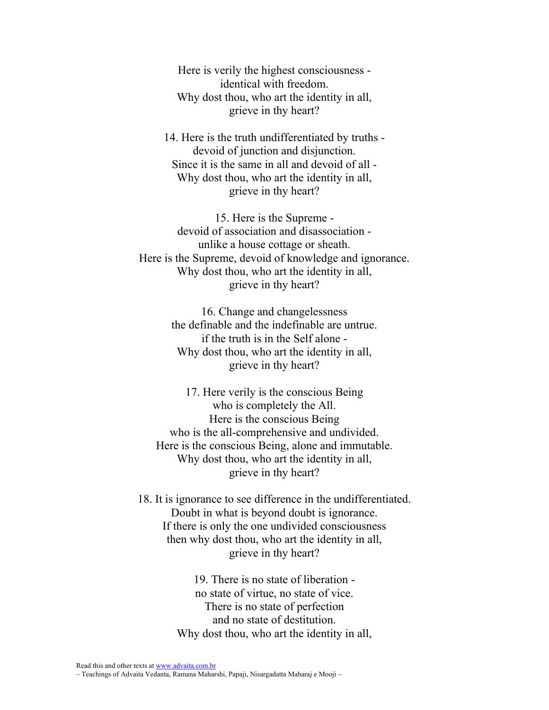Here is verily the highest consciousness identical with freedom. Why dost thou, who art the identity in all, grieve in thy heart?

14. Here is the truth undifferentiated by truths devoid of junction and disjunction. Since it is the same in all and devoid of all - Why dost thou, who art the identity in all, grieve in thy heart?

15. Here is the Supreme devoid of association and disassociation unlike a house cottage or sheath. Here is the Supreme, devoid of knowledge and ignorance. Why dost thou, who art the identity in all, grieve in thy heart?

> 16. Change and changelessness the definable and the indefinable are untrue. if the truth is in the Self alone - Why dost thou, who art the identity in all, grieve in thy heart?

17. Here verily is the conscious Being who is completely the All. Here is the conscious Being who is the all-comprehensive and undivided. Here is the conscious Being, alone and immutable. Why dost thou, who art the identity in all, grieve in thy heart?

18. It is ignorance to see difference in the undifferentiated. Doubt in what is beyond doubt is ignorance. If there is only the one undivided consciousness then why dost thou, who art the identity in all, grieve in thy heart?

> 19. There is no state of liberation no state of virtue, no state of vice. There is no state of perfection and no state of destitution. Why dost thou, who art the identity in all,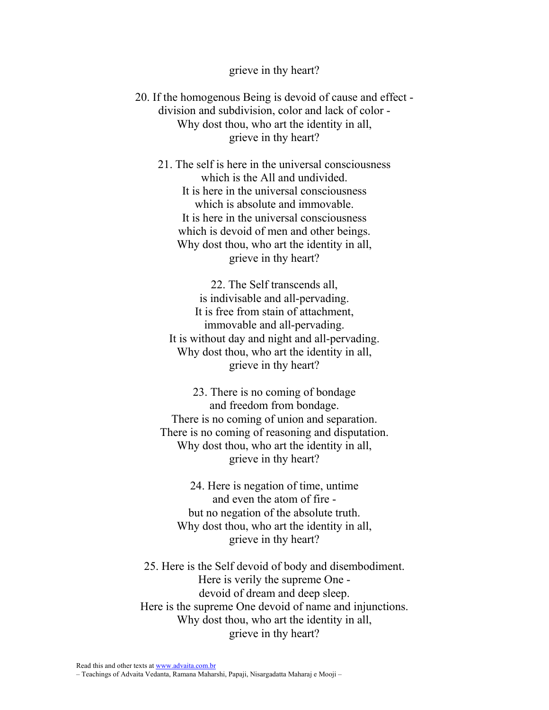#### grieve in thy heart?

20. If the homogenous Being is devoid of cause and effect division and subdivision, color and lack of color - Why dost thou, who art the identity in all. grieve in thy heart?

21. The self is here in the universal consciousness which is the All and undivided. It is here in the universal consciousness which is absolute and immovable. It is here in the universal consciousness which is devoid of men and other beings. Why dost thou, who art the identity in all, grieve in thy heart?

22. The Self transcends all, is indivisable and all-pervading. It is free from stain of attachment, immovable and all-pervading. It is without day and night and all-pervading. Why dost thou, who art the identity in all, grieve in thy heart?

23. There is no coming of bondage and freedom from bondage. There is no coming of union and separation. There is no coming of reasoning and disputation. Why dost thou, who art the identity in all, grieve in thy heart?

24. Here is negation of time, untime and even the atom of fire but no negation of the absolute truth. Why dost thou, who art the identity in all, grieve in thy heart?

25. Here is the Self devoid of body and disembodiment. Here is verily the supreme One devoid of dream and deep sleep. Here is the supreme One devoid of name and injunctions. Why dost thou, who art the identity in all, grieve in thy heart?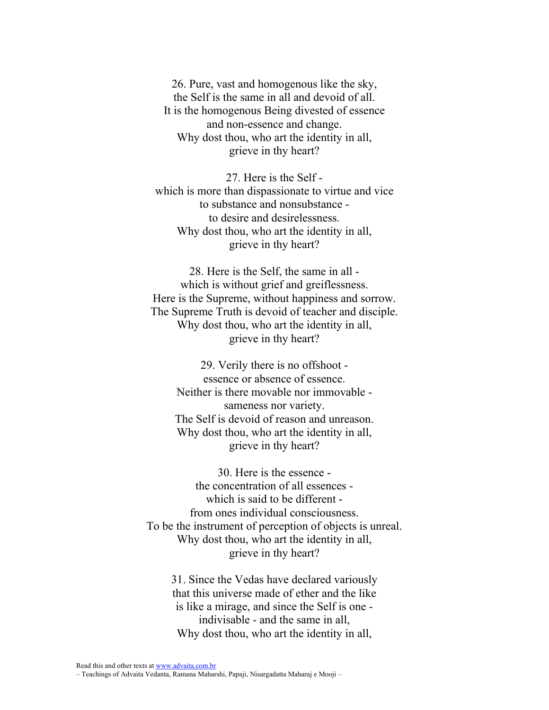26. Pure, vast and homogenous like the sky, the Self is the same in all and devoid of all. It is the homogenous Being divested of essence and non-essence and change. Why dost thou, who art the identity in all, grieve in thy heart?

27. Here is the Self which is more than dispassionate to virtue and vice to substance and nonsubstance to desire and desirelessness. Why dost thou, who art the identity in all, grieve in thy heart?

28. Here is the Self, the same in all which is without grief and greiflessness. Here is the Supreme, without happiness and sorrow. The Supreme Truth is devoid of teacher and disciple. Why dost thou, who art the identity in all, grieve in thy heart?

> 29. Verily there is no offshoot essence or absence of essence. Neither is there movable nor immovable sameness nor variety. The Self is devoid of reason and unreason. Why dost thou, who art the identity in all, grieve in thy heart?

30. Here is the essence the concentration of all essences which is said to be different from ones individual consciousness. To be the instrument of perception of objects is unreal. Why dost thou, who art the identity in all, grieve in thy heart?

31. Since the Vedas have declared variously that this universe made of ether and the like is like a mirage, and since the Self is one indivisable - and the same in all, Why dost thou, who art the identity in all,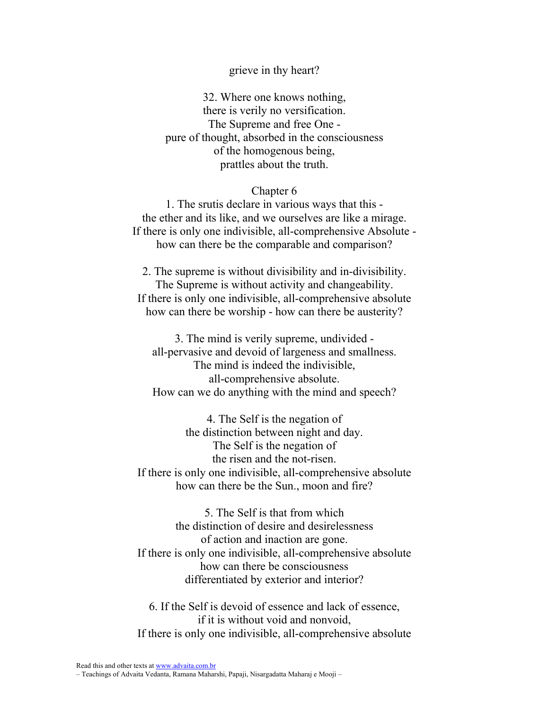### grieve in thy heart?

32. Where one knows nothing, there is verily no versification. The Supreme and free One pure of thought, absorbed in the consciousness of the homogenous being, prattles about the truth.

#### Chapter 6

1. The srutis declare in various ways that this the ether and its like, and we ourselves are like a mirage. If there is only one indivisible, all-comprehensive Absolute how can there be the comparable and comparison?

2. The supreme is without divisibility and in-divisibility. The Supreme is without activity and changeability. If there is only one indivisible, all-comprehensive absolute how can there be worship - how can there be austerity?

3. The mind is verily supreme, undivided all-pervasive and devoid of largeness and smallness. The mind is indeed the indivisible, all-comprehensive absolute. How can we do anything with the mind and speech?

4. The Self is the negation of the distinction between night and day. The Self is the negation of the risen and the not-risen. If there is only one indivisible, all-comprehensive absolute how can there be the Sun., moon and fire?

5. The Self is that from which the distinction of desire and desirelessness of action and inaction are gone. If there is only one indivisible, all-comprehensive absolute how can there be consciousness differentiated by exterior and interior?

6. If the Self is devoid of essence and lack of essence, if it is without void and nonvoid, If there is only one indivisible, all-comprehensive absolute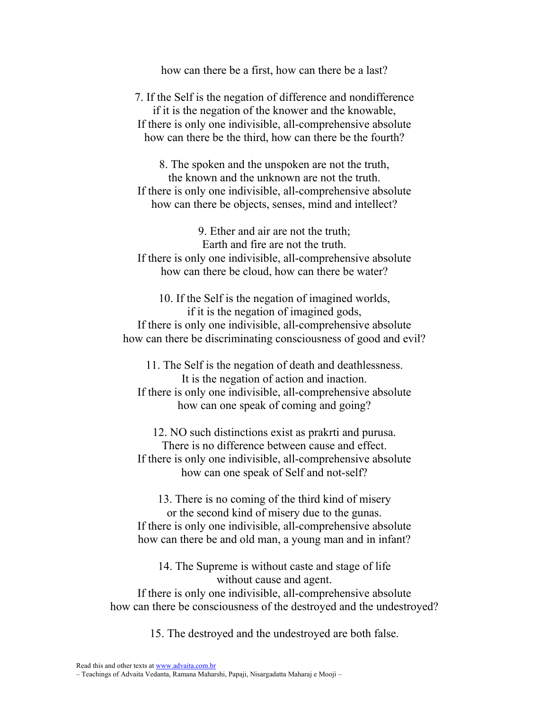how can there be a first, how can there be a last?

7. If the Self is the negation of difference and nondifference if it is the negation of the knower and the knowable, If there is only one indivisible, all-comprehensive absolute how can there be the third, how can there be the fourth?

8. The spoken and the unspoken are not the truth, the known and the unknown are not the truth. If there is only one indivisible, all-comprehensive absolute how can there be objects, senses, mind and intellect?

9. Ether and air are not the truth; Earth and fire are not the truth. If there is only one indivisible, all-comprehensive absolute how can there be cloud, how can there be water?

10. If the Self is the negation of imagined worlds, if it is the negation of imagined gods, If there is only one indivisible, all-comprehensive absolute how can there be discriminating consciousness of good and evil?

11. The Self is the negation of death and deathlessness. It is the negation of action and inaction. If there is only one indivisible, all-comprehensive absolute how can one speak of coming and going?

12. NO such distinctions exist as prakrti and purusa. There is no difference between cause and effect. If there is only one indivisible, all-comprehensive absolute how can one speak of Self and not-self?

13. There is no coming of the third kind of misery or the second kind of misery due to the gunas. If there is only one indivisible, all-comprehensive absolute how can there be and old man, a young man and in infant?

14. The Supreme is without caste and stage of life without cause and agent.

If there is only one indivisible, all-comprehensive absolute how can there be consciousness of the destroyed and the undestroyed?

15. The destroyed and the undestroyed are both false.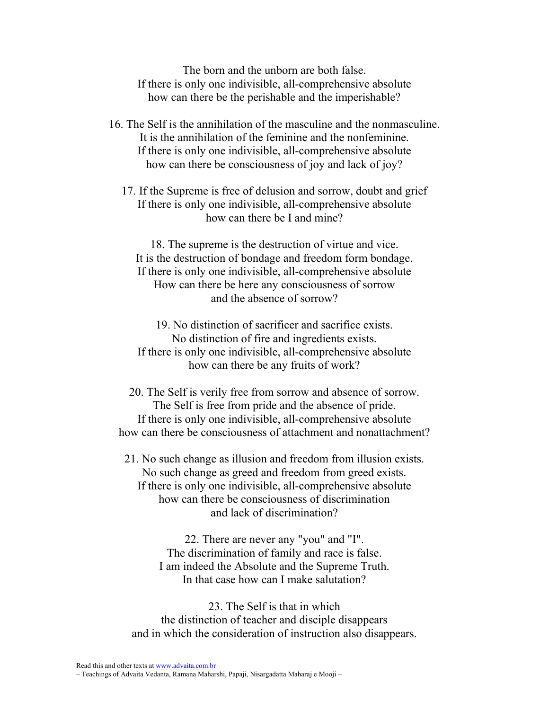The born and the unborn are both false. If there is only one indivisible, all-comprehensive absolute how can there be the perishable and the imperishable?

- 16. The Self is the annihilation of the masculine and the nonmasculine. It is the annihilation of the feminine and the nonfeminine. If there is only one indivisible, all-comprehensive absolute how can there be consciousness of joy and lack of joy?
	- 17. If the Supreme is free of delusion and sorrow, doubt and grief If there is only one indivisible, all-comprehensive absolute how can there be I and mine?

18. The supreme is the destruction of virtue and vice. It is the destruction of bondage and freedom form bondage. If there is only one indivisible, all-comprehensive absolute How can there be here any consciousness of sorrow and the absence of sorrow?

19. No distinction of sacrificer and sacrifice exists. No distinction of fire and ingredients exists. If there is only one indivisible, all-comprehensive absolute how can there be any fruits of work?

20. The Self is verily free from sorrow and absence of sorrow. The Self is free from pride and the absence of pride. If there is only one indivisible, all-comprehensive absolute how can there be consciousness of attachment and nonattachment?

21. No such change as illusion and freedom from illusion exists. No such change as greed and freedom from greed exists. If there is only one indivisible, all-comprehensive absolute how can there be consciousness of discrimination and lack of discrimination?

> 22. There are never any "you" and "I". The discrimination of family and race is false. I am indeed the Absolute and the Supreme Truth. In that case how can I make salutation?

23. The Self is that in which the distinction of teacher and disciple disappears and in which the consideration of instruction also disappears.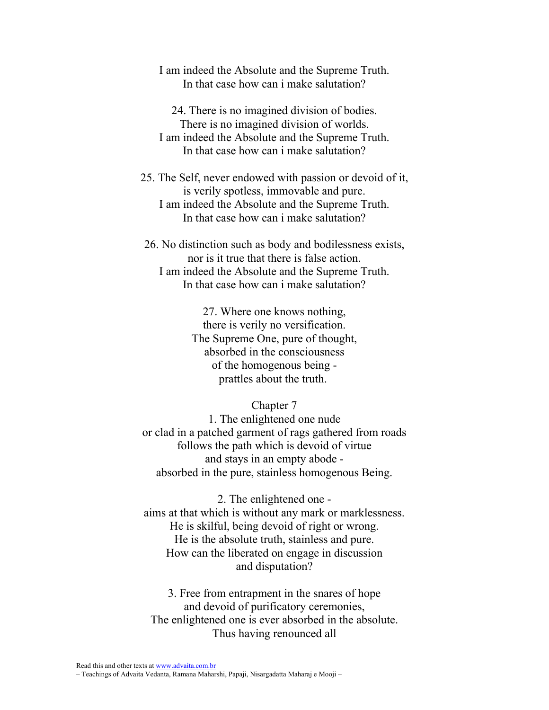I am indeed the Absolute and the Supreme Truth. In that case how can i make salutation?

24. There is no imagined division of bodies. There is no imagined division of worlds. I am indeed the Absolute and the Supreme Truth. In that case how can i make salutation?

25. The Self, never endowed with passion or devoid of it, is verily spotless, immovable and pure. I am indeed the Absolute and the Supreme Truth. In that case how can i make salutation?

26. No distinction such as body and bodilessness exists, nor is it true that there is false action. I am indeed the Absolute and the Supreme Truth. In that case how can i make salutation?

> 27. Where one knows nothing, there is verily no versification. The Supreme One, pure of thought, absorbed in the consciousness of the homogenous being prattles about the truth.

> > Chapter 7

1. The enlightened one nude or clad in a patched garment of rags gathered from roads follows the path which is devoid of virtue and stays in an empty abode absorbed in the pure, stainless homogenous Being.

2. The enlightened one aims at that which is without any mark or marklessness. He is skilful, being devoid of right or wrong. He is the absolute truth, stainless and pure. How can the liberated on engage in discussion and disputation?

3. Free from entrapment in the snares of hope and devoid of purificatory ceremonies, The enlightened one is ever absorbed in the absolute. Thus having renounced all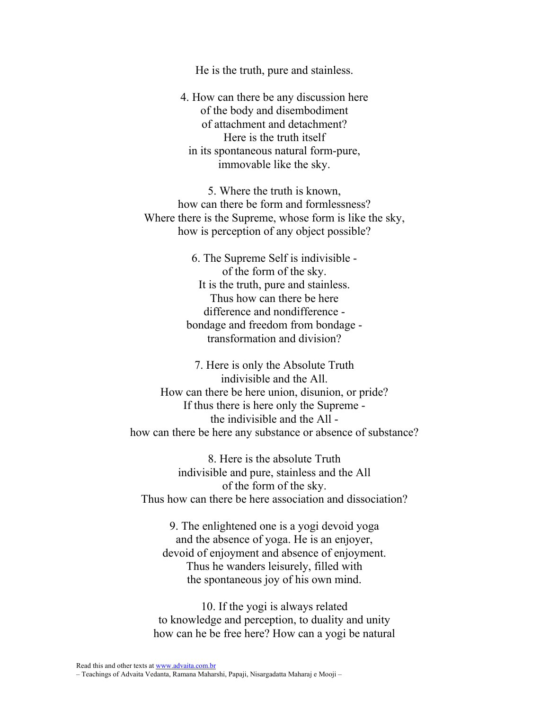He is the truth, pure and stainless.

4. How can there be any discussion here of the body and disembodiment of attachment and detachment? Here is the truth itself in its spontaneous natural form-pure, immovable like the sky.

5. Where the truth is known, how can there be form and formlessness? Where there is the Supreme, whose form is like the sky, how is perception of any object possible?

> 6. The Supreme Self is indivisible of the form of the sky. It is the truth, pure and stainless. Thus how can there be here difference and nondifference bondage and freedom from bondage transformation and division?

7. Here is only the Absolute Truth indivisible and the All. How can there be here union, disunion, or pride? If thus there is here only the Supreme the indivisible and the All how can there be here any substance or absence of substance?

8. Here is the absolute Truth indivisible and pure, stainless and the All of the form of the sky. Thus how can there be here association and dissociation?

9. The enlightened one is a yogi devoid yoga and the absence of yoga. He is an enjoyer, devoid of enjoyment and absence of enjoyment. Thus he wanders leisurely, filled with the spontaneous joy of his own mind.

10. If the yogi is always related to knowledge and perception, to duality and unity how can he be free here? How can a yogi be natural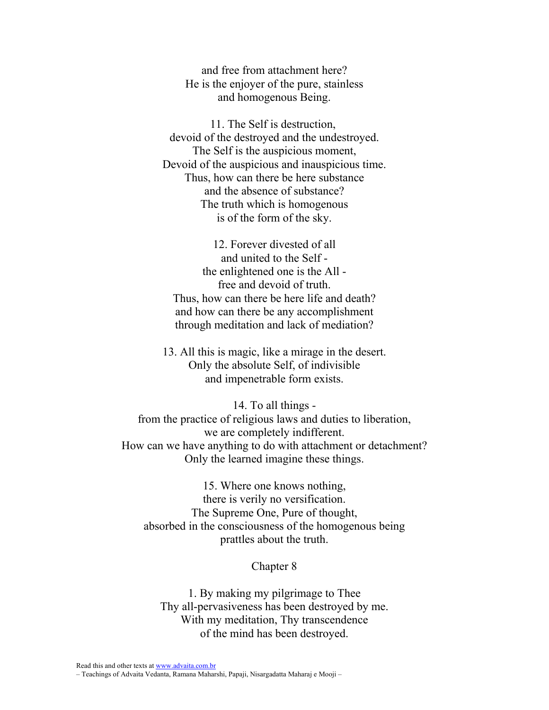and free from attachment here? He is the enjoyer of the pure, stainless and homogenous Being.

11. The Self is destruction, devoid of the destroyed and the undestroyed. The Self is the auspicious moment, Devoid of the auspicious and inauspicious time. Thus, how can there be here substance and the absence of substance? The truth which is homogenous is of the form of the sky.

12. Forever divested of all and united to the Self the enlightened one is the All free and devoid of truth. Thus, how can there be here life and death? and how can there be any accomplishment through meditation and lack of mediation?

13. All this is magic, like a mirage in the desert. Only the absolute Self, of indivisible and impenetrable form exists.

14. To all things from the practice of religious laws and duties to liberation, we are completely indifferent. How can we have anything to do with attachment or detachment? Only the learned imagine these things.

15. Where one knows nothing, there is verily no versification. The Supreme One, Pure of thought, absorbed in the consciousness of the homogenous being prattles about the truth.

### Chapter 8

1. By making my pilgrimage to Thee Thy all-pervasiveness has been destroyed by me. With my meditation, Thy transcendence of the mind has been destroyed.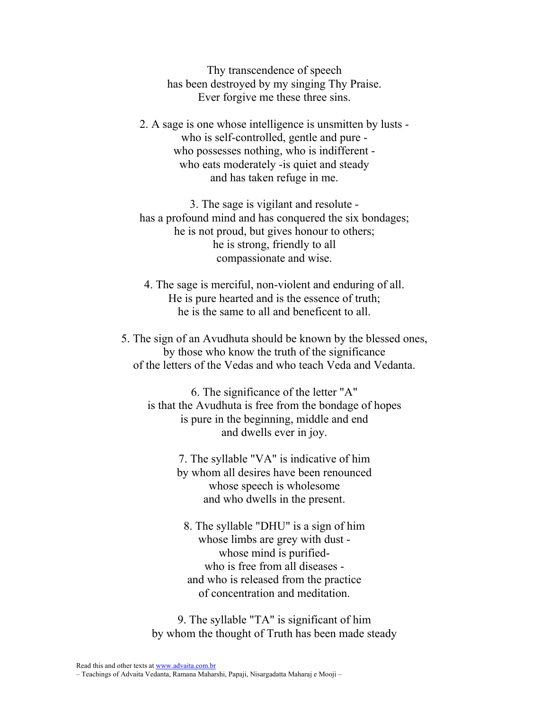Thy transcendence of speech has been destroyed by my singing Thy Praise. Ever forgive me these three sins.

2. A sage is one whose intelligence is unsmitten by lusts who is self-controlled, gentle and pure who possesses nothing, who is indifferent who eats moderately - is quiet and steady and has taken refuge in me.

3. The sage is vigilant and resolute has a profound mind and has conquered the six bondages; he is not proud, but gives honour to others; he is strong, friendly to all compassionate and wise.

4. The sage is merciful, non-violent and enduring of all. He is pure hearted and is the essence of truth; he is the same to all and beneficent to all.

5. The sign of an Avudhuta should be known by the blessed ones, by those who know the truth of the significance of the letters of the Vedas and who teach Veda and Vedanta.

6. The significance of the letter "A" is that the Avudhuta is free from the bondage of hopes is pure in the beginning, middle and end and dwells ever in joy.

> 7. The syllable "VA" is indicative of him by whom all desires have been renounced whose speech is wholesome and who dwells in the present.

8. The syllable "DHU" is a sign of him whose limbs are grey with dust whose mind is purifiedwho is free from all diseases and who is released from the practice of concentration and meditation.

9. The syllable "TA" is significant of him by whom the thought of Truth has been made steady